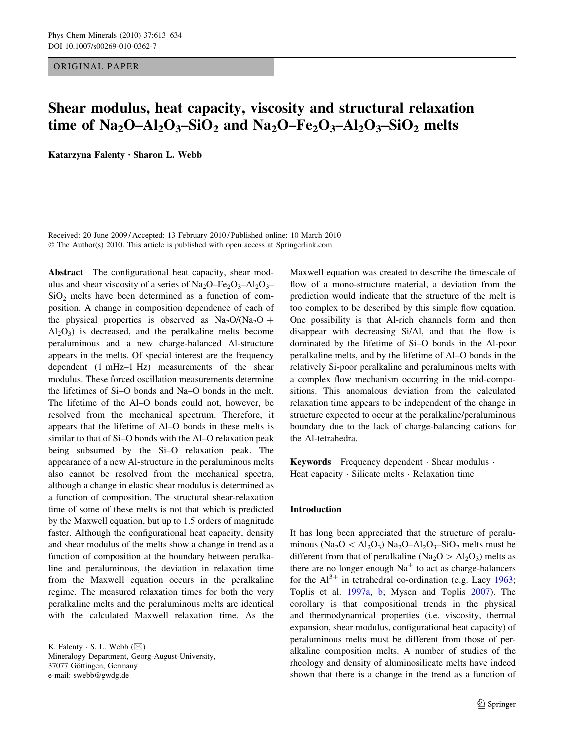# ORIGINAL PAPER

# Shear modulus, heat capacity, viscosity and structural relaxation time of  $Na<sub>2</sub>O-Al<sub>2</sub>O<sub>3</sub>$ –SiO<sub>2</sub> and  $Na<sub>2</sub>O-Fe<sub>2</sub>O<sub>3</sub>$ –Al<sub>2</sub>O<sub>3</sub>–SiO<sub>2</sub> melts

Katarzyna Falenty • Sharon L. Webb

Received: 20 June 2009 / Accepted: 13 February 2010 / Published online: 10 March 2010 © The Author(s) 2010. This article is published with open access at Springerlink.com

Abstract The configurational heat capacity, shear modulus and shear viscosity of a series of  $Na<sub>2</sub>O-Fe<sub>2</sub>O<sub>3</sub>-Al<sub>2</sub>O<sub>3</sub>$  $SiO<sub>2</sub>$  melts have been determined as a function of composition. A change in composition dependence of each of the physical properties is observed as  $Na<sub>2</sub>O/(Na<sub>2</sub>O +$  $Al_2O_3$ ) is decreased, and the peralkaline melts become peraluminous and a new charge-balanced Al-structure appears in the melts. Of special interest are the frequency dependent (1 mHz–1 Hz) measurements of the shear modulus. These forced oscillation measurements determine the lifetimes of Si–O bonds and Na–O bonds in the melt. The lifetime of the Al–O bonds could not, however, be resolved from the mechanical spectrum. Therefore, it appears that the lifetime of Al–O bonds in these melts is similar to that of Si–O bonds with the Al–O relaxation peak being subsumed by the Si–O relaxation peak. The appearance of a new Al-structure in the peraluminous melts also cannot be resolved from the mechanical spectra, although a change in elastic shear modulus is determined as a function of composition. The structural shear-relaxation time of some of these melts is not that which is predicted by the Maxwell equation, but up to 1.5 orders of magnitude faster. Although the configurational heat capacity, density and shear modulus of the melts show a change in trend as a function of composition at the boundary between peralkaline and peraluminous, the deviation in relaxation time from the Maxwell equation occurs in the peralkaline regime. The measured relaxation times for both the very peralkaline melts and the peraluminous melts are identical with the calculated Maxwell relaxation time. As the

K. Falenty  $\cdot$  S. L. Webb ( $\boxtimes$ ) Mineralogy Department, Georg-August-University, 37077 Göttingen, Germany e-mail: swebb@gwdg.de

Maxwell equation was created to describe the timescale of flow of a mono-structure material, a deviation from the prediction would indicate that the structure of the melt is too complex to be described by this simple flow equation. One possibility is that Al-rich channels form and then disappear with decreasing Si/Al, and that the flow is dominated by the lifetime of Si–O bonds in the Al-poor peralkaline melts, and by the lifetime of Al–O bonds in the relatively Si-poor peralkaline and peraluminous melts with a complex flow mechanism occurring in the mid-compositions. This anomalous deviation from the calculated relaxation time appears to be independent of the change in structure expected to occur at the peralkaline/peraluminous boundary due to the lack of charge-balancing cations for the Al-tetrahedra.

Keywords Frequency dependent · Shear modulus · Heat capacity · Silicate melts · Relaxation time

## Introduction

It has long been appreciated that the structure of peraluminous (Na<sub>2</sub>O < Al<sub>2</sub>O<sub>3</sub>) Na<sub>2</sub>O–Al<sub>2</sub>O<sub>3</sub>–SiO<sub>2</sub> melts must be different from that of peralkaline (Na<sub>2</sub>O > Al<sub>2</sub>O<sub>3</sub>) melts as there are no longer enough  $Na<sup>+</sup>$  to act as charge-balancers for the  $Al^{3+}$  in tetrahedral co-ordination (e.g. Lacy [1963](#page-20-0); Toplis et al. [1997a,](#page-21-0) [b;](#page-21-0) Mysen and Toplis [2007](#page-21-0)). The corollary is that compositional trends in the physical and thermodynamical properties (i.e. viscosity, thermal expansion, shear modulus, configurational heat capacity) of peraluminous melts must be different from those of peralkaline composition melts. A number of studies of the rheology and density of aluminosilicate melts have indeed shown that there is a change in the trend as a function of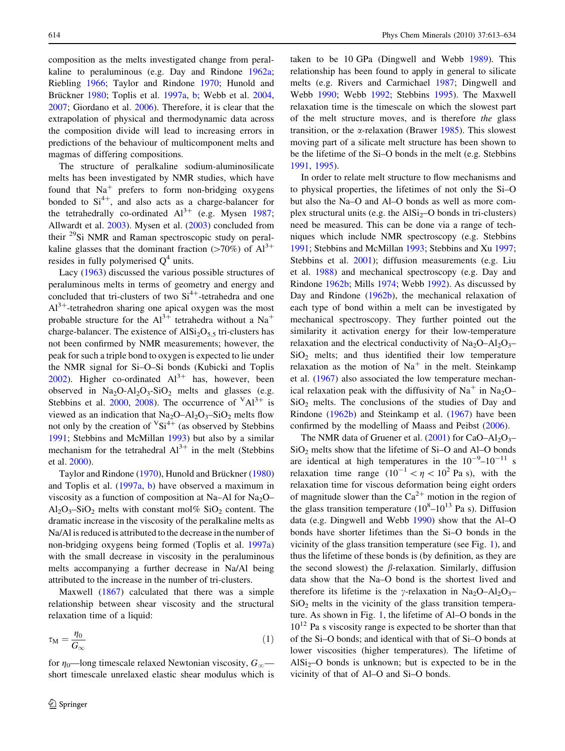<span id="page-1-0"></span>composition as the melts investigated change from peralkaline to peraluminous (e.g. Day and Rindone [1962a](#page-20-0); Riebling [1966](#page-21-0); Taylor and Rindone [1970;](#page-21-0) Hunold and Brückner [1980;](#page-20-0) Toplis et al. [1997a,](#page-21-0) [b;](#page-21-0) Webb et al. [2004,](#page-21-0) [2007;](#page-21-0) Giordano et al. [2006\)](#page-20-0). Therefore, it is clear that the extrapolation of physical and thermodynamic data across the composition divide will lead to increasing errors in predictions of the behaviour of multicomponent melts and magmas of differing compositions.

The structure of peralkaline sodium-aluminosilicate melts has been investigated by NMR studies, which have found that  $Na<sup>+</sup>$  prefers to form non-bridging oxygens bonded to  $Si<sup>4+</sup>$ , and also acts as a charge-balancer for the tetrahedrally co-ordinated  $Al^{3+}$  (e.g. Mysen [1987](#page-21-0); Allwardt et al. [2003](#page-20-0)). Mysen et al. ([2003\)](#page-21-0) concluded from their <sup>29</sup>Si NMR and Raman spectroscopic study on peralkaline glasses that the dominant fraction ( $>70\%$ ) of Al<sup>3+</sup> resides in fully polymerised  $Q<sup>4</sup>$  units.

Lacy ([1963\)](#page-20-0) discussed the various possible structures of peraluminous melts in terms of geometry and energy and concluded that tri-clusters of two  $Si<sup>4+</sup>$ -tetrahedra and one  $Al^{3+}$ -tetrahedron sharing one apical oxygen was the most probable structure for the  $Al^{3+}$  tetrahedra without a Na<sup>+</sup> charge-balancer. The existence of  $AISi<sub>2</sub>O<sub>5</sub>$  tri-clusters has not been confirmed by NMR measurements; however, the peak for such a triple bond to oxygen is expected to lie under the NMR signal for Si–O–Si bonds (Kubicki and Toplis  $2002$ ). Higher co-ordinated  $Al^{3+}$  has, however, been observed in  $Na<sub>2</sub>O-Al<sub>2</sub>O<sub>3</sub>-SiO<sub>2</sub>$  melts and glasses (e.g. Stebbins et al. [2000](#page-21-0), [2008](#page-21-0)). The occurrence of  $\mathrm{V}\mathrm{Al}^{3+}$  is viewed as an indication that  $Na<sub>2</sub>O-Al<sub>2</sub>O<sub>3</sub>$ –SiO<sub>2</sub> melts flow not only by the creation of  $\mathrm{YSi}^{4+}$  (as observed by Stebbins [1991;](#page-21-0) Stebbins and McMillan [1993\)](#page-21-0) but also by a similar mechanism for the tetrahedral  $Al^{3+}$  in the melt (Stebbins et al. [2000](#page-21-0)).

Taylor and Rindone ([1970\)](#page-21-0), Hunold and Brückner ([1980\)](#page-20-0) and Toplis et al. [\(1997a,](#page-21-0) [b\)](#page-21-0) have observed a maximum in viscosity as a function of composition at Na–Al for Na<sub>2</sub>O–  $Al_2O_3-SiO_2$  melts with constant mol%  $SiO_2$  content. The dramatic increase in the viscosity of the peralkaline melts as Na/Al is reduced is attributed to the decrease in the number of non-bridging oxygens being formed (Toplis et al. [1997a\)](#page-21-0) with the small decrease in viscosity in the peraluminous melts accompanying a further decrease in Na/Al being attributed to the increase in the number of tri-clusters.

Maxwell [\(1867](#page-21-0)) calculated that there was a simple relationship between shear viscosity and the structural relaxation time of a liquid:

$$
\tau_{\mathbf{M}} = \frac{\eta_0}{G_{\infty}} \tag{1}
$$

for  $\eta_0$ —long timescale relaxed Newtonian viscosity,  $G_{\infty}$  short timescale unrelaxed elastic shear modulus which is taken to be 10 GPa (Dingwell and Webb [1989\)](#page-20-0). This relationship has been found to apply in general to silicate melts (e.g. Rivers and Carmichael [1987](#page-21-0); Dingwell and Webb [1990;](#page-20-0) Webb [1992](#page-21-0); Stebbins [1995\)](#page-21-0). The Maxwell relaxation time is the timescale on which the slowest part of the melt structure moves, and is therefore the glass transition, or the  $\alpha$ -relaxation (Brawer [1985](#page-20-0)). This slowest moving part of a silicate melt structure has been shown to be the lifetime of the Si–O bonds in the melt (e.g. Stebbins [1991](#page-21-0), [1995\)](#page-21-0).

In order to relate melt structure to flow mechanisms and to physical properties, the lifetimes of not only the Si–O but also the Na–O and Al–O bonds as well as more complex structural units (e.g. the  $AISi<sub>2</sub>$ –O bonds in tri-clusters) need be measured. This can be done via a range of techniques which include NMR spectroscopy (e.g. Stebbins [1991](#page-21-0); Stebbins and McMillan [1993;](#page-21-0) Stebbins and Xu [1997](#page-21-0); Stebbins et al. [2001\)](#page-21-0); diffusion measurements (e.g. Liu et al. [1988](#page-20-0)) and mechanical spectroscopy (e.g. Day and Rindone [1962b;](#page-20-0) Mills [1974;](#page-21-0) Webb [1992](#page-21-0)). As discussed by Day and Rindone [\(1962b](#page-20-0)), the mechanical relaxation of each type of bond within a melt can be investigated by mechanical spectroscopy. They further pointed out the similarity it activation energy for their low-temperature relaxation and the electrical conductivity of  $Na<sub>2</sub>O-Al<sub>2</sub>O<sub>3</sub>$  $SiO<sub>2</sub>$  melts; and thus identified their low temperature relaxation as the motion of  $Na<sup>+</sup>$  in the melt. Steinkamp et al. [\(1967](#page-21-0)) also associated the low temperature mechanical relaxation peak with the diffusivity of  $Na<sup>+</sup>$  in Na<sub>2</sub>O–  $SiO<sub>2</sub>$  melts. The conclusions of the studies of Day and Rindone ([1962b\)](#page-20-0) and Steinkamp et al. ([1967\)](#page-21-0) have been confirmed by the modelling of Maass and Peibst [\(2006](#page-20-0)).

The NMR data of Gruener et al.  $(2001)$  $(2001)$  for CaO–Al<sub>2</sub>O<sub>3</sub>–  $SiO<sub>2</sub>$  melts show that the lifetime of Si–O and Al–O bonds are identical at high temperatures in the  $10^{-9}$ – $10^{-11}$  s relaxation time range  $(10^{-1} < \eta < 10^2$  Pa s), with the relaxation time for viscous deformation being eight orders of magnitude slower than the  $Ca^{2+}$  motion in the region of the glass transition temperature  $(10^{8}-10^{13}$  Pa s). Diffusion data (e.g. Dingwell and Webb [1990](#page-20-0)) show that the Al–O bonds have shorter lifetimes than the Si–O bonds in the vicinity of the glass transition temperature (see Fig. [1](#page-2-0)), and thus the lifetime of these bonds is (by definition, as they are the second slowest) the  $\beta$ -relaxation. Similarly, diffusion data show that the Na–O bond is the shortest lived and therefore its lifetime is the y-relaxation in Na<sub>2</sub>O–Al<sub>2</sub>O<sub>3</sub>–  $SiO<sub>2</sub>$  melts in the vicinity of the glass transition temperature. As shown in Fig. [1](#page-2-0), the lifetime of Al–O bonds in the  $10^{12}$  Pa s viscosity range is expected to be shorter than that of the Si–O bonds; and identical with that of Si–O bonds at lower viscosities (higher temperatures). The lifetime of AlSi<sub>2</sub>–O bonds is unknown; but is expected to be in the vicinity of that of Al–O and Si–O bonds.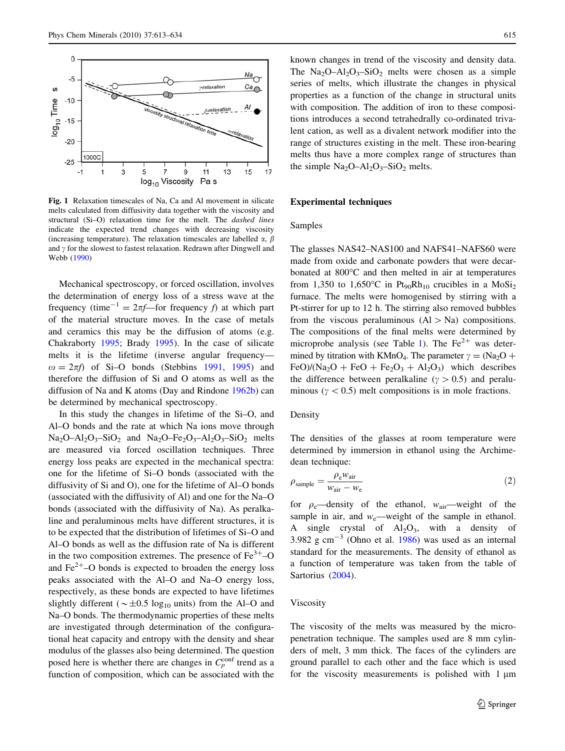<span id="page-2-0"></span>

Fig. 1 Relaxation timescales of Na, Ca and Al movement in silicate melts calculated from diffusivity data together with the viscosity and structural (Si–O) relaxation time for the melt. The dashed lines indicate the expected trend changes with decreasing viscosity (increasing temperature). The relaxation timescales are labelled  $\alpha$ ,  $\beta$ and  $\gamma$  for the slowest to fastest relaxation. Redrawn after Dingwell and Webb ([1990\)](#page-20-0)

Mechanical spectroscopy, or forced oscillation, involves the determination of energy loss of a stress wave at the frequency (time<sup>-1</sup> =  $2\pi f$ -for frequency f) at which part of the material structure moves. In the case of metals and ceramics this may be the diffusion of atoms (e.g. Chakraborty [1995](#page-20-0); Brady [1995](#page-20-0)). In the case of silicate melts it is the lifetime (inverse angular frequency—  $\omega = 2\pi f$  of Si-O bonds (Stebbins [1991,](#page-21-0) [1995](#page-21-0)) and therefore the diffusion of Si and O atoms as well as the diffusion of Na and K atoms (Day and Rindone [1962b](#page-20-0)) can be determined by mechanical spectroscopy.

In this study the changes in lifetime of the Si–O, and Al–O bonds and the rate at which Na ions move through  $Na<sub>2</sub>O–Al<sub>2</sub>O<sub>3</sub>–SiO<sub>2</sub>$  and  $Na<sub>2</sub>O–Fe<sub>2</sub>O<sub>3</sub>–Al<sub>2</sub>O<sub>3</sub>–SiO<sub>2</sub>$  melts are measured via forced oscillation techniques. Three energy loss peaks are expected in the mechanical spectra: one for the lifetime of Si–O bonds (associated with the diffusivity of Si and O), one for the lifetime of Al–O bonds (associated with the diffusivity of Al) and one for the Na–O bonds (associated with the diffusivity of Na). As peralkaline and peraluminous melts have different structures, it is to be expected that the distribution of lifetimes of Si–O and Al–O bonds as well as the diffusion rate of Na is different in the two composition extremes. The presence of  $Fe<sup>3+</sup>-O$ and  $Fe<sup>2+</sup>-O$  bonds is expected to broaden the energy loss peaks associated with the Al–O and Na–O energy loss, respectively, as these bonds are expected to have lifetimes slightly different ( $\sim \pm 0.5$  log<sub>10</sub> units) from the Al–O and Na–O bonds. The thermodynamic properties of these melts are investigated through determination of the configurational heat capacity and entropy with the density and shear modulus of the glasses also being determined. The question posed here is whether there are changes in  $C_p^{\text{conf}}$  trend as a function of composition, which can be associated with the known changes in trend of the viscosity and density data. The  $Na<sub>2</sub>O-A<sub>2</sub>O<sub>3</sub>-SiO<sub>2</sub>$  melts were chosen as a simple series of melts, which illustrate the changes in physical properties as a function of the change in structural units with composition. The addition of iron to these compositions introduces a second tetrahedrally co-ordinated trivalent cation, as well as a divalent network modifier into the range of structures existing in the melt. These iron-bearing melts thus have a more complex range of structures than the simple  $Na<sub>2</sub>O–Al<sub>2</sub>O<sub>3</sub>–SiO<sub>2</sub>$  melts.

## Experimental techniques

#### Samples

The glasses NAS42–NAS100 and NAFS41–NAFS60 were made from oxide and carbonate powders that were decarbonated at  $800^{\circ}$ C and then melted in air at temperatures from 1,350 to 1,650°C in  $Pt_{90}Rh_{10}$  crucibles in a MoSi<sub>2</sub> furnace. The melts were homogenised by stirring with a Pt-stirrer for up to 12 h. The stirring also removed bubbles from the viscous peraluminous  $(AI > Na)$  compositions. The compositions of the final melts were determined by microprobe analysis (see Table [1\)](#page-3-0). The  $Fe^{2+}$  was determined by titration with KMnO<sub>4</sub>. The parameter  $\gamma = (Na_2O +$ FeO)/(Na<sub>2</sub>O + FeO + Fe<sub>2</sub>O<sub>3</sub> + Al<sub>2</sub>O<sub>3</sub>) which describes the difference between peralkaline ( $\gamma > 0.5$ ) and peraluminous ( $\gamma$  < 0.5) melt compositions is in mole fractions.

Density

The densities of the glasses at room temperature were determined by immersion in ethanol using the Archimedean technique:

$$
\rho_{\text{sample}} = \frac{\rho_{\text{e}} w_{\text{air}}}{w_{\text{air}} - w_{\text{e}}}
$$
\n(2)

for  $\rho_e$ —density of the ethanol,  $w_{air}$ —weight of the sample in air, and  $w_e$ —weight of the sample in ethanol. A single crystal of  $Al_2O_3$ , with a density of  $3.982$  g cm<sup>-3</sup> (Ohno et al. [1986\)](#page-21-0) was used as an internal standard for the measurements. The density of ethanol as a function of temperature was taken from the table of Sartorius ([2004\)](#page-21-0).

# Viscosity

The viscosity of the melts was measured by the micropenetration technique. The samples used are 8 mm cylinders of melt, 3 mm thick. The faces of the cylinders are ground parallel to each other and the face which is used for the viscosity measurements is polished with  $1 \mu m$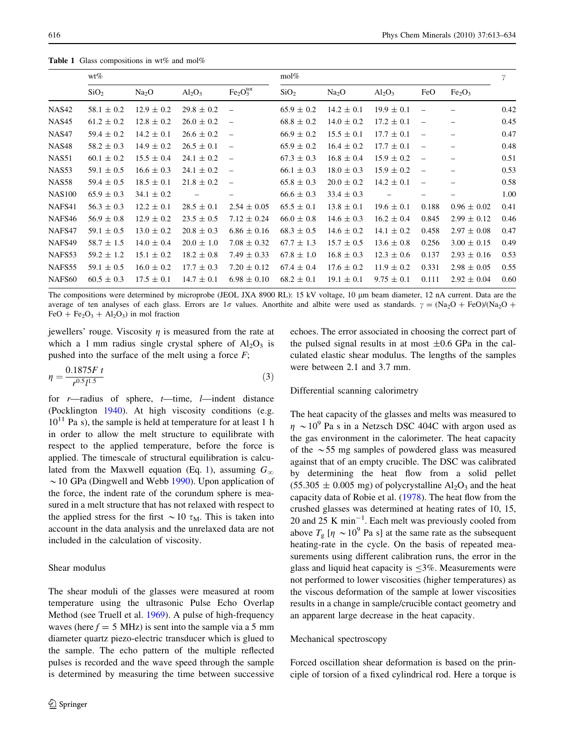<span id="page-3-0"></span>

|                    | $wt\%$           |                   |                |                          | mol%             |                   |                |                          |                                | $\gamma$ |
|--------------------|------------------|-------------------|----------------|--------------------------|------------------|-------------------|----------------|--------------------------|--------------------------------|----------|
|                    | SiO <sub>2</sub> | Na <sub>2</sub> O | $Al_2O_3$      | $Fe2O3tot$               | SiO <sub>2</sub> | Na <sub>2</sub> O | $Al_2O_3$      | FeO                      | Fe <sub>2</sub> O <sub>3</sub> |          |
| NAS <sub>42</sub>  | $58.1 \pm 0.2$   | $12.9 \pm 0.2$    | $29.8 \pm 0.2$ |                          | $65.9 \pm 0.2$   | $14.2 \pm 0.1$    | $19.9 \pm 0.1$ |                          |                                | 0.42     |
| NAS <sub>45</sub>  | $61.2 \pm 0.2$   | $12.8 \pm 0.2$    | $26.0 \pm 0.2$ |                          | $68.8 \pm 0.2$   | $14.0 \pm 0.2$    | $17.2 \pm 0.1$ | $\qquad \qquad -$        |                                | 0.45     |
| NAS <sub>47</sub>  | $59.4 \pm 0.2$   | $14.2 \pm 0.1$    | $26.6 \pm 0.2$ | $\overline{\phantom{0}}$ | $66.9 \pm 0.2$   | $15.5 \pm 0.1$    | $17.7 \pm 0.1$ |                          |                                | 0.47     |
| NAS <sub>48</sub>  | $58.2 \pm 0.3$   | $14.9 \pm 0.2$    | $26.5 \pm 0.1$ |                          | $65.9 \pm 0.2$   | $16.4 \pm 0.2$    | $17.7 \pm 0.1$ | $\qquad \qquad -$        |                                | 0.48     |
| NAS51              | $60.1 \pm 0.2$   | $15.5 \pm 0.4$    | $24.1 \pm 0.2$ | $\overline{\phantom{0}}$ | $67.3 \pm 0.3$   | $16.8 \pm 0.4$    | $15.9 \pm 0.2$ | $\overline{\phantom{a}}$ | -                              | 0.51     |
| NAS <sub>53</sub>  | $59.1 \pm 0.5$   | $16.6 \pm 0.3$    | $24.1 \pm 0.2$ | $\overline{\phantom{0}}$ | $66.1 \pm 0.3$   | $18.0 \pm 0.3$    | $15.9 \pm 0.2$ | $\overline{\phantom{a}}$ | $\overline{\phantom{0}}$       | 0.53     |
| NAS58              | $59.4 \pm 0.5$   | $18.5 \pm 0.1$    | $21.8 \pm 0.2$ | $\overline{\phantom{0}}$ | $65.8 \pm 0.3$   | $20.0 \pm 0.2$    | $14.2 \pm 0.1$ | $\qquad \qquad -$        |                                | 0.58     |
| <b>NAS100</b>      | $65.9 \pm 0.3$   | $34.1 \pm 0.2$    |                |                          | $66.6 \pm 0.3$   | $33.4 \pm 0.3$    |                |                          |                                | 1.00     |
| NAFS41             | $56.3 \pm 0.3$   | $12.2 \pm 0.1$    | $28.5 \pm 0.1$ | $2.54 \pm 0.05$          | $65.5 \pm 0.1$   | $13.8 \pm 0.1$    | $19.6 \pm 0.1$ | 0.188                    | $0.96 \pm 0.02$                | 0.41     |
| NAFS <sub>46</sub> | $56.9 \pm 0.8$   | $12.9 \pm 0.2$    | $23.5 \pm 0.5$ | $7.12 \pm 0.24$          | $66.0 \pm 0.8$   | $14.6 \pm 0.3$    | $16.2 \pm 0.4$ | 0.845                    | $2.99 \pm 0.12$                | 0.46     |
| NAFS <sub>47</sub> | $59.1 \pm 0.5$   | $13.0 \pm 0.2$    | $20.8 \pm 0.3$ | $6.86 \pm 0.16$          | $68.3 \pm 0.5$   | $14.6 \pm 0.2$    | $14.1 \pm 0.2$ | 0.458                    | $2.97 \pm 0.08$                | 0.47     |
| NAFS49             | $58.7 \pm 1.5$   | $14.0 \pm 0.4$    | $20.0 \pm 1.0$ | $7.08 \pm 0.32$          | $67.7 \pm 1.3$   | $15.7 \pm 0.5$    | $13.6 \pm 0.8$ | 0.256                    | $3.00 \pm 0.15$                | 0.49     |
| NAFS53             | $59.2 \pm 1.2$   | $15.1 \pm 0.2$    | $18.2 \pm 0.8$ | 7.49 $\pm$ 0.33          | $67.8 \pm 1.0$   | $16.8 \pm 0.3$    | $12.3 \pm 0.6$ | 0.137                    | $2.93 \pm 0.16$                | 0.53     |
| NAFS55             | $59.1 \pm 0.5$   | $16.0 \pm 0.2$    | $17.7 \pm 0.3$ | $7.20 \pm 0.12$          | $67.4 \pm 0.4$   | $17.6 \pm 0.2$    | $11.9 \pm 0.2$ | 0.331                    | $2.98 \pm 0.05$                | 0.55     |
| NAFS60             | $60.5 \pm 0.3$   | $17.5 \pm 0.1$    | $14.7 \pm 0.1$ | $6.98 \pm 0.10$          | $68.2 \pm 0.1$   | $19.1 \pm 0.1$    | $9.75 \pm 0.1$ | 0.111                    | $2.92 \pm 0.04$                | 0.60     |
|                    |                  |                   |                |                          |                  |                   |                |                          |                                |          |

The compositions were determined by microprobe (JEOL JXA 8900 RL): 15 kV voltage, 10 µm beam diameter, 12 nA current. Data are the average of ten analyses of each glass. Errors are  $1\sigma$  values. Anorthite and albite were used as standards.  $\gamma = (Na_2O + FeO)/(Na_2O +$  $FeO + Fe<sub>2</sub>O<sub>3</sub> + Al<sub>2</sub>O<sub>3</sub>$  in mol fraction

jewellers' rouge. Viscosity  $\eta$  is measured from the rate at which a 1 mm radius single crystal sphere of  $Al_2O_3$  is pushed into the surface of the melt using a force  $F$ ;

$$
\eta = \frac{0.1875F \ t}{r^{0.5} l^{1.5}}
$$
\n(3)

for  $r$ —radius of sphere,  $t$ —time,  $l$ —indent distance (Pocklington [1940\)](#page-21-0). At high viscosity conditions (e.g.  $10^{11}$  Pa s), the sample is held at temperature for at least 1 h in order to allow the melt structure to equilibrate with respect to the applied temperature, before the force is applied. The timescale of structural equilibration is calcu-lated from the Maxwell equation (Eq. [1](#page-1-0)), assuming  $G_{\infty}$  $\sim$  10 GPa (Dingwell and Webb [1990\)](#page-20-0). Upon application of the force, the indent rate of the corundum sphere is measured in a melt structure that has not relaxed with respect to the applied stress for the first  $\sim$  10  $\tau_M$ . This is taken into account in the data analysis and the unrelaxed data are not included in the calculation of viscosity.

#### Shear modulus

The shear moduli of the glasses were measured at room temperature using the ultrasonic Pulse Echo Overlap Method (see Truell et al. [1969](#page-21-0)). A pulse of high-frequency waves (here  $f = 5$  MHz) is sent into the sample via a 5 mm diameter quartz piezo-electric transducer which is glued to the sample. The echo pattern of the multiple reflected pulses is recorded and the wave speed through the sample is determined by measuring the time between successive echoes. The error associated in choosing the correct part of the pulsed signal results in at most  $\pm 0.6$  GPa in the calculated elastic shear modulus. The lengths of the samples were between 2.1 and 3.7 mm.

#### Differential scanning calorimetry

The heat capacity of the glasses and melts was measured to  $\eta \sim 10^9$  Pa s in a Netzsch DSC 404C with argon used as the gas environment in the calorimeter. The heat capacity of the  $\sim$  55 mg samples of powdered glass was measured against that of an empty crucible. The DSC was calibrated by determining the heat flow from a solid pellet  $(55.305 \pm 0.005 \text{ mg})$  of polycrystalline Al<sub>2</sub>O<sub>3</sub> and the heat capacity data of Robie et al. [\(1978](#page-21-0)). The heat flow from the crushed glasses was determined at heating rates of 10, 15, 20 and 25 K  $min^{-1}$ . Each melt was previously cooled from above  $T_g$  [ $\eta \sim 10^9$  Pa s] at the same rate as the subsequent heating-rate in the cycle. On the basis of repeated measurements using different calibration runs, the error in the glass and liquid heat capacity is  $\leq 3\%$ . Measurements were not performed to lower viscosities (higher temperatures) as the viscous deformation of the sample at lower viscosities results in a change in sample/crucible contact geometry and an apparent large decrease in the heat capacity.

# Mechanical spectroscopy

Forced oscillation shear deformation is based on the principle of torsion of a fixed cylindrical rod. Here a torque is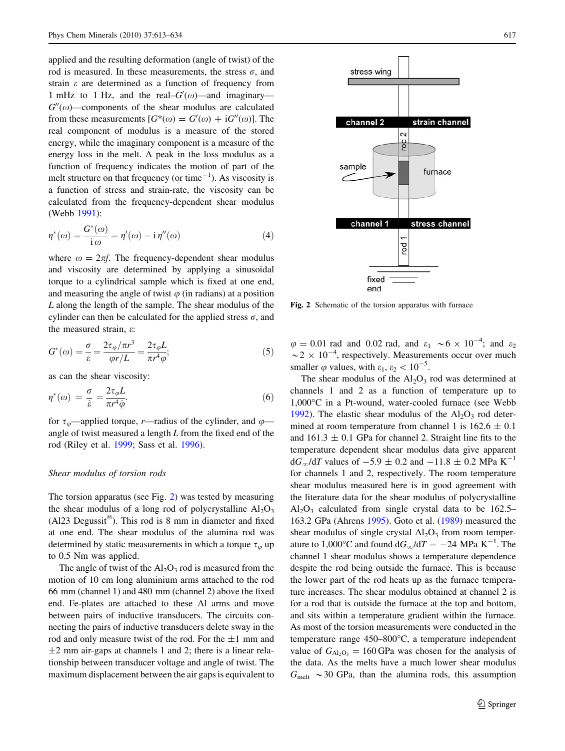applied and the resulting deformation (angle of twist) of the rod is measured. In these measurements, the stress  $\sigma$ , and strain  $\varepsilon$  are determined as a function of frequency from 1 mHz to 1 Hz, and the real- $G'(\omega)$ —and imaginary—  $G''(\omega)$ —components of the shear modulus are calculated from these measurements  $[G^*(\omega) = G'(\omega) + iG''(\omega)]$ . The real component of modulus is a measure of the stored energy, while the imaginary component is a measure of the energy loss in the melt. A peak in the loss modulus as a function of frequency indicates the motion of part of the melt structure on that frequency (or time<sup> $-1$ </sup>). As viscosity is a function of stress and strain-rate, the viscosity can be calculated from the frequency-dependent shear modulus (Webb [1991\)](#page-21-0):

$$
\eta^*(\omega) = \frac{G^*(\omega)}{\mathrm{i}\,\omega} = \eta'(\omega) - \mathrm{i}\,\eta''(\omega) \tag{4}
$$

where  $\omega = 2\pi f$ . The frequency-dependent shear modulus and viscosity are determined by applying a sinusoidal torque to a cylindrical sample which is fixed at one end, and measuring the angle of twist  $\varphi$  (in radians) at a position L along the length of the sample. The shear modulus of the cylinder can then be calculated for the applied stress  $\sigma$ , and the measured strain, e:

$$
G^*(\omega) = \frac{\sigma}{\varepsilon} = \frac{2\tau_{\varphi}/\pi r^3}{\varphi r/L} = \frac{2\tau_{\varphi}L}{\pi r^4 \varphi};
$$
\n(5)

as can the shear viscosity:

$$
\eta^*(\omega) = \frac{\sigma}{\dot{\varepsilon}} = \frac{2\tau_{\varphi}L}{\pi r^4 \dot{\varphi}}.\tag{6}
$$

for  $\tau_{\varphi}$ —applied torque, r—radius of the cylinder, and  $\varphi$  angle of twist measured a length L from the fixed end of the rod (Riley et al. [1999;](#page-21-0) Sass et al. [1996\)](#page-21-0).

#### Shear modulus of torsion rods

The torsion apparatus (see Fig. 2) was tested by measuring the shear modulus of a long rod of polycrystalline  $Al_2O_3$ (Al23 Degussit<sup>®</sup>). This rod is 8 mm in diameter and fixed at one end. The shear modulus of the alumina rod was determined by static measurements in which a torque  $\tau_{\varphi}$  up to 0.5 Nm was applied.

The angle of twist of the  $Al_2O_3$  rod is measured from the motion of 10 cm long aluminium arms attached to the rod 66 mm (channel 1) and 480 mm (channel 2) above the fixed end. Fe-plates are attached to these Al arms and move between pairs of inductive transducers. The circuits connecting the pairs of inductive transducers delete sway in the rod and only measure twist of the rod. For the  $\pm 1$  mm and  $\pm 2$  mm air-gaps at channels 1 and 2; there is a linear relationship between transducer voltage and angle of twist. The maximum displacement between the air gaps is equivalent to



Fig. 2 Schematic of the torsion apparatus with furnace

 $\varphi = 0.01$  rad and 0.02 rad, and  $\varepsilon_1 \sim 6 \times 10^{-4}$ ; and  $\varepsilon_2$  $\sim$  2  $\times$  10<sup>-4</sup>, respectively. Measurements occur over much smaller  $\varphi$  values, with  $\varepsilon_1$ ,  $\varepsilon_2 < 10^{-5}$ .

The shear modulus of the  $Al_2O_3$  rod was determined at channels 1 and 2 as a function of temperature up to 1,000C in a Pt-wound, water-cooled furnace (see Webb [1992](#page-21-0)). The elastic shear modulus of the  $Al_2O_3$  rod determined at room temperature from channel 1 is  $162.6 \pm 0.1$ and  $161.3 \pm 0.1$  GPa for channel 2. Straight line fits to the temperature dependent shear modulus data give apparent  $dG_{\infty}/dT$  values of  $-5.9 \pm 0.2$  and  $-11.8 \pm 0.2$  MPa K<sup>-1</sup> for channels 1 and 2, respectively. The room temperature shear modulus measured here is in good agreement with the literature data for the shear modulus of polycrystalline  $Al_2O_3$  calculated from single crystal data to be 162.5– 163.2 GPa (Ahrens [1995\)](#page-20-0). Goto et al. ([1989\)](#page-20-0) measured the shear modulus of single crystal  $Al_2O_3$  from room temperature to 1,000°C and found  $dG_{\infty}/dT = -24$  MPa K<sup>-1</sup>. The channel 1 shear modulus shows a temperature dependence despite the rod being outside the furnace. This is because the lower part of the rod heats up as the furnace temperature increases. The shear modulus obtained at channel 2 is for a rod that is outside the furnace at the top and bottom, and sits within a temperature gradient within the furnace. As most of the torsion measurements were conducted in the temperature range 450–800°C, a temperature independent value of  $G_{\text{Al}_2\text{O}_3} = 160 \text{ GPa}$  was chosen for the analysis of the data. As the melts have a much lower shear modulus  $G_{\text{melt}} \sim 30$  GPa, than the alumina rods, this assumption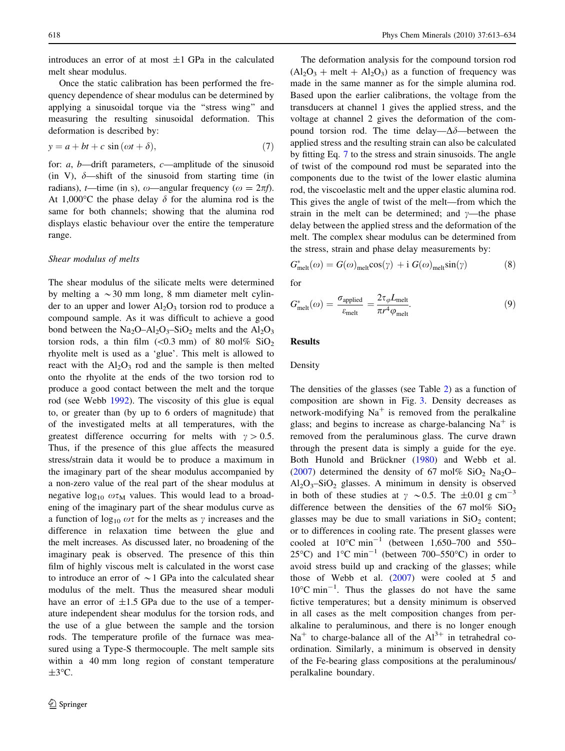introduces an error of at most  $\pm 1$  GPa in the calculated melt shear modulus.

Once the static calibration has been performed the frequency dependence of shear modulus can be determined by applying a sinusoidal torque via the ''stress wing'' and measuring the resulting sinusoidal deformation. This deformation is described by:

$$
y = a + bt + c \sin(\omega t + \delta), \tag{7}
$$

for:  $a$ ,  $b$ —drift parameters,  $c$ —amplitude of the sinusoid (in V),  $\delta$ —shift of the sinusoid from starting time (in radians), *t*—time (in s),  $\omega$ —angular frequency ( $\omega = 2\pi f$ ). At 1,000 °C the phase delay  $\delta$  for the alumina rod is the same for both channels; showing that the alumina rod displays elastic behaviour over the entire the temperature range.

### Shear modulus of melts

The shear modulus of the silicate melts were determined by melting a  $\sim$  30 mm long, 8 mm diameter melt cylinder to an upper and lower  $Al_2O_3$  torsion rod to produce a compound sample. As it was difficult to achieve a good bond between the  $Na<sub>2</sub>O-Al<sub>2</sub>O<sub>3</sub>$ –SiO<sub>2</sub> melts and the Al<sub>2</sub>O<sub>3</sub> torsion rods, a thin film  $(\leq 0.3 \text{ mm})$  of 80 mol% SiO<sub>2</sub> rhyolite melt is used as a 'glue'. This melt is allowed to react with the  $Al_2O_3$  rod and the sample is then melted onto the rhyolite at the ends of the two torsion rod to produce a good contact between the melt and the torque rod (see Webb [1992](#page-21-0)). The viscosity of this glue is equal to, or greater than (by up to 6 orders of magnitude) that of the investigated melts at all temperatures, with the greatest difference occurring for melts with  $\gamma > 0.5$ . Thus, if the presence of this glue affects the measured stress/strain data it would be to produce a maximum in the imaginary part of the shear modulus accompanied by a non-zero value of the real part of the shear modulus at negative  $log_{10} \omega \tau_M$  values. This would lead to a broadening of the imaginary part of the shear modulus curve as a function of  $\log_{10} \omega \tau$  for the melts as  $\gamma$  increases and the difference in relaxation time between the glue and the melt increases. As discussed later, no broadening of the imaginary peak is observed. The presence of this thin film of highly viscous melt is calculated in the worst case to introduce an error of  $\sim$  1 GPa into the calculated shear modulus of the melt. Thus the measured shear moduli have an error of  $\pm 1.5$  GPa due to the use of a temperature independent shear modulus for the torsion rods, and the use of a glue between the sample and the torsion rods. The temperature profile of the furnace was measured using a Type-S thermocouple. The melt sample sits within a 40 mm long region of constant temperature  $\pm 3^{\circ}$ C.

The deformation analysis for the compound torsion rod  $(Al_2O_3 + \text{melt} + Al_2O_3)$  as a function of frequency was made in the same manner as for the simple alumina rod. Based upon the earlier calibrations, the voltage from the transducers at channel 1 gives the applied stress, and the voltage at channel 2 gives the deformation of the compound torsion rod. The time delay— $\Delta\delta$ —between the applied stress and the resulting strain can also be calculated by fitting Eq. 7 to the stress and strain sinusoids. The angle of twist of the compound rod must be separated into the components due to the twist of the lower elastic alumina rod, the viscoelastic melt and the upper elastic alumina rod. This gives the angle of twist of the melt—from which the strain in the melt can be determined; and  $\gamma$ —the phase delay between the applied stress and the deformation of the melt. The complex shear modulus can be determined from the stress, strain and phase delay measurements by:

$$
G_{\text{melt}}^*(\omega) = G(\omega)_{\text{melt}} \cos(\gamma) + i G(\omega)_{\text{melt}} \sin(\gamma) \tag{8}
$$

for

$$
G_{\text{melt}}^*(\omega) = \frac{\sigma_{\text{applied}}}{\varepsilon_{\text{melt}}} = \frac{2\tau_{\varphi}L_{\text{melt}}}{\pi r^4 \varphi_{\text{melt}}}.\tag{9}
$$

# Results

#### Density

The densities of the glasses (see Table [2](#page-6-0)) as a function of composition are shown in Fig. [3.](#page-7-0) Density decreases as network-modifying  $Na<sup>+</sup>$  is removed from the peralkaline glass; and begins to increase as charge-balancing  $Na<sup>+</sup>$  is removed from the peraluminous glass. The curve drawn through the present data is simply a guide for the eye. Both Hunold and Brückner [\(1980](#page-20-0)) and Webb et al. [\(2007](#page-21-0)) determined the density of 67 mol%  $SiO_2$  Na<sub>2</sub>O–  $Al_2O_3-SiO_2$  glasses. A minimum in density is observed in both of these studies at  $\gamma \sim 0.5$ . The  $\pm 0.01$  g cm<sup>-3</sup> difference between the densities of the 67 mol%  $SiO<sub>2</sub>$ glasses may be due to small variations in  $SiO<sub>2</sub>$  content; or to differences in cooling rate. The present glasses were cooled at  $10^{\circ}$ C min<sup>-1</sup> (between 1,650–700 and 550– 25 $^{\circ}$ C) and 1 $^{\circ}$ C min<sup>-1</sup> (between 700–550 $^{\circ}$ C) in order to avoid stress build up and cracking of the glasses; while those of Webb et al. ([2007\)](#page-21-0) were cooled at 5 and  $10^{\circ}$ C min<sup>-1</sup>. Thus the glasses do not have the same fictive temperatures; but a density minimum is observed in all cases as the melt composition changes from peralkaline to peraluminous, and there is no longer enough  $Na<sup>+</sup>$  to charge-balance all of the  $Al<sup>3+</sup>$  in tetrahedral coordination. Similarly, a minimum is observed in density of the Fe-bearing glass compositions at the peraluminous/ peralkaline boundary.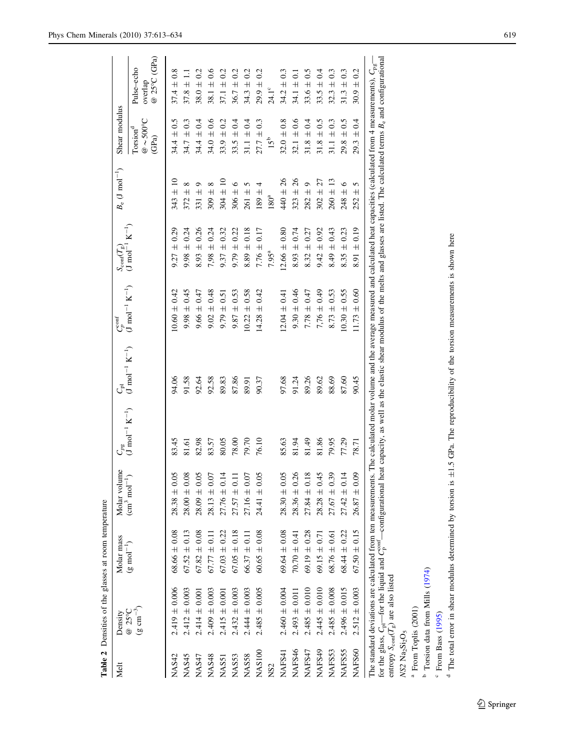<span id="page-6-0"></span>

| Melt            | Density                                                                                                                                             | Molar mass       | Molar volume<br>$(m^3 \text{ mol}^{-1})$ | $\begin{array}{c} C_{pg} \\ ( \mathrm{J} \ \mathrm{mol}^{-1} \ \mathrm{K}^{-1} ) \end{array}$                                                                                                                                                                                                                                           | $\begin{array}{c} C_{\rm pl} \\ \textrm{(J mol$^{-1}$ K$^{-1}$)} \end{array}$ | $\begin{array}{c} C_p^{\text{conf}}\ (J\ \text{mol}^{-1}\ \text{K}^{-1}) \end{array}$ | $\begin{array}{c} S_{\rm conf}(T_{\rm g})\\ (J\ {\rm mod}^{-1}\ {\rm K}^{-1}) \end{array}$ | $B_{\rm e}$ (J ${\rm mol}^{-1})$  | Shear modulus                                         |                                                |
|-----------------|-----------------------------------------------------------------------------------------------------------------------------------------------------|------------------|------------------------------------------|-----------------------------------------------------------------------------------------------------------------------------------------------------------------------------------------------------------------------------------------------------------------------------------------------------------------------------------------|-------------------------------------------------------------------------------|---------------------------------------------------------------------------------------|--------------------------------------------------------------------------------------------|-----------------------------------|-------------------------------------------------------|------------------------------------------------|
|                 | (g $\rm cm^{-3})$<br>$@25^{\circ}C$                                                                                                                 | $(g \mod^{-1})$  |                                          |                                                                                                                                                                                                                                                                                                                                         |                                                                               |                                                                                       |                                                                                            |                                   | $\odot$ $\sim$ 500°C<br>Torsion <sup>d</sup><br>(GPa) | GPa<br>Pulse-echo<br>$@25^{\circ}C$<br>overlap |
| NAS42           | $2.419 \pm 0.006$                                                                                                                                   | $68.66 \pm 0.08$ | $28.38 \pm 0.05$                         | 83.45                                                                                                                                                                                                                                                                                                                                   | 94.06                                                                         | $0.60 \pm 0.42$                                                                       | $9.27 \pm 0.29$                                                                            | $343 \pm 10$                      | $34.4 \pm 0.5$                                        | $37.4 \pm 0.8$                                 |
| NAS45           | $2.412 \pm 0.003$                                                                                                                                   | $67.52 \pm 0.13$ | $28.00 \pm 0.08$                         | 81.61                                                                                                                                                                                                                                                                                                                                   | 91.58                                                                         | $9.98 \pm 0.45$                                                                       | $9.98 \pm 0.24$                                                                            | $\infty$<br>$\overline{+}$<br>372 | $34.7 \pm 0.3$                                        | $37.8 \pm 1.1$                                 |
| NAS47           | $2.414 \pm 0.001$                                                                                                                                   | $67.82 \pm 0.08$ | $28.09 \pm 0.05$                         | 82.98                                                                                                                                                                                                                                                                                                                                   | 92.64                                                                         | $9.66 \pm 0.47$                                                                       | $8.93 \pm 0.26$                                                                            | ഗ<br>$331 \pm$                    | $34.4 \pm 0.4$                                        | $38.0 \pm 0.2$                                 |
| NAS48           | $2.409 \pm 0.003$                                                                                                                                   | $67.77 \pm 0.11$ | $28.13 \pm 0.07$                         | 83.57                                                                                                                                                                                                                                                                                                                                   | 92.58                                                                         | $9.02 \pm 0.48$                                                                       | $7,98 \pm 0.24$                                                                            | $\infty$<br>$309 \pm$             | $34.0 \pm 0.6$                                        | $38.1 \pm 0.6$                                 |
| <b>NAS51</b>    | $2.415 \pm 0.001$                                                                                                                                   | $67.03 \pm 0.22$ | $27.76 \pm 0.14$                         | 80.05                                                                                                                                                                                                                                                                                                                                   | 89.83                                                                         | $9.79 \pm 0.51$                                                                       | $9.37 \pm 0.32$                                                                            | $\Xi$<br>$\overline{+}$<br>304    | $33.9 \pm 0.2$                                        | $\pm 0.2$<br>37.1                              |
| NAS53           | $2.432 \pm 0.003$                                                                                                                                   | $67.05 \pm 0.18$ | $\equiv$<br>$27.57 \pm 0.$               | 78.00                                                                                                                                                                                                                                                                                                                                   | 87.86                                                                         | $9.87 \pm 0.53$                                                                       | $9.79 \pm 0.22$                                                                            | $\circ$<br>$306 \pm$              | $33.5 \pm 0.4$                                        | $36.7 \pm 0.2$                                 |
| <b>NAS58</b>    | $2.444 \pm 0.003$                                                                                                                                   | $66.37 \pm 0.11$ | $27.16 \pm 0.07$                         | 79.70                                                                                                                                                                                                                                                                                                                                   | 89.91                                                                         | $10.22 \pm 0.58$                                                                      | $8.89 \pm 0.18$                                                                            | 5<br>$261 \pm$                    | $31.1 \pm 0.4$                                        | $34.3 \pm 0.2$                                 |
| <b>NAS100</b>   | $2.485 \pm 0.005$                                                                                                                                   | $60.65 \pm 0.08$ | $24.41 \pm 0.05$                         | 76.10                                                                                                                                                                                                                                                                                                                                   | 90.37                                                                         | $14.28 \pm 0.42$                                                                      | $7.76 \pm 0.17$                                                                            | 4<br>$189 \pm$                    | $27.7 \pm 0.3$                                        | $29.9 \pm 0.2$                                 |
| NS <sub>2</sub> |                                                                                                                                                     |                  |                                          |                                                                                                                                                                                                                                                                                                                                         |                                                                               |                                                                                       | $7.95^{a}$                                                                                 | 180 <sup>a</sup>                  | 15 <sup>b</sup>                                       | $24.1^\circ$                                   |
| NAFS41          | $2.460 \pm 0.004$                                                                                                                                   | $69.64 \pm 0.08$ | $28.30 \pm 0.05$                         | 85.63                                                                                                                                                                                                                                                                                                                                   | 97.68                                                                         | $12.04 \pm 0.41$                                                                      | $12.66 \pm 0.80$                                                                           | 26<br>440 ±                       | $32.0 \pm 0.8$                                        | $34.2 \pm 0.3$                                 |
| NAFS46          | $2.493 \pm 0.011$                                                                                                                                   | $70.70 \pm 0.41$ | $28.36 \pm 0.26$                         | 81.94                                                                                                                                                                                                                                                                                                                                   | 91.24                                                                         | $9.30 \pm 0.46$                                                                       | $8.93 \pm 0.74$                                                                            | $323 \pm 26$                      | $32.1 \pm 0.6$                                        | $34.1 \pm 0.1$                                 |
| NAFS47          | $2.485 \pm 0.010$                                                                                                                                   | $69.19 \pm 0.28$ | $27.84 \pm 0.18$                         | 81.49                                                                                                                                                                                                                                                                                                                                   | 89.26                                                                         | $7.78 \pm 0.47$                                                                       | $8.32 \pm 0.27$                                                                            | $\circ$<br>$282 \pm$              | $31.8 \pm 0.4$                                        | $33.6 \pm 0.5$                                 |
| NAFS49          | $2.445 \pm 0.010$                                                                                                                                   | $69.15 \pm 0.71$ | $28.28 \pm 0.45$                         | 81.86                                                                                                                                                                                                                                                                                                                                   | 89.62                                                                         | $7,76 \pm 0.49$                                                                       | $9.42 \pm 0.92$                                                                            | 27<br>$302 \pm$                   | 0.5<br>$31.8 \pm$                                     | $\pm 0.4$<br>33.5                              |
| NAFS53          | $2.485 \pm 0.008$                                                                                                                                   | $68.76 \pm 0.61$ | $27.67 \pm 0.39$                         | 79.95                                                                                                                                                                                                                                                                                                                                   | 88.69                                                                         | $8.73 \pm 0.53$                                                                       | $8.49 \pm 0.43$                                                                            | $260 \pm 13$                      | $31.1 \pm 0.3$                                        | $32.3 \pm 0.3$                                 |
| NAFS55          | $2.496 \pm 0.015$                                                                                                                                   | $68.44 \pm 0.22$ | $\overline{1}$<br>$27.42 \pm 0.$         | 77.29                                                                                                                                                                                                                                                                                                                                   | 87.60                                                                         | $10.30 \pm 0.55$                                                                      | $8.35 \pm 0.23$                                                                            | $\circ$<br>$248 \pm$              | $29.8 \pm 0.5$                                        | $31.3 \pm 0.3$                                 |
| <b>NAFS60</b>   | $2.512 \pm 0.003$                                                                                                                                   | $67.50 \pm 0.15$ | $26.87\,\pm\,0.09$                       | 78.71                                                                                                                                                                                                                                                                                                                                   | 90.45                                                                         | $1.73 \pm 0.60$                                                                       | $8.91 \pm 0.19$                                                                            | 5<br>$\overline{+}$<br>252        | $29.3 \pm 0.4$                                        | $\pm$ 0.2<br>30.9                              |
|                 | for the glass, $C_{\text{pl}}$ —for the liquid and $C_{\text{p}}^{\text{conf}}$ —configurational<br>entropy $S_{\text{const}}(T_a)$ are also listed |                  |                                          | heat capacity, as well as the elastic shear modulus of the melts and glasses are listed. The calculated terms $B_6$ and configurational<br>The standard deviations are calculated from ten measurements. The calculated molar volume and the average measured and calculated heat capacities (calculated from 4 measurements), $C_{pg}$ |                                                                               |                                                                                       |                                                                                            |                                   |                                                       |                                                |

entropy  $S_{\text{conf}}(T_g)$  are also listed

enuopy J<sub>conf</sub>(1<sub>g</sub>)<br>NS2 Na<sub>2</sub>Si<sub>2</sub>O<sub>5</sub>  $NS2$   $\mathrm{Na_{2}Si_{2}O_{5}}$ 

<sup>a</sup> From Toplis (2001) From Toplis (2001)

<sup>b</sup> Torsion data from Mills (1974) Torsion data from Mills ([1974\)](#page-21-0)

 $\degree$  From Bass (1995) From Bass ([1995](#page-20-0))

 $d$  The total error in shear modulus determined by torsion is  $\pm 1.5$  GPa. The reproducibility of the torsion measurements is shown here The total error in shear modulus determined by torsion is ±1.5 GPa. The reproducibility of the torsion measurements is shown here

Table 2 Densities of the glasses at room temperature

Table 2 Densities of the glasses at room temperature

 $2$  Springer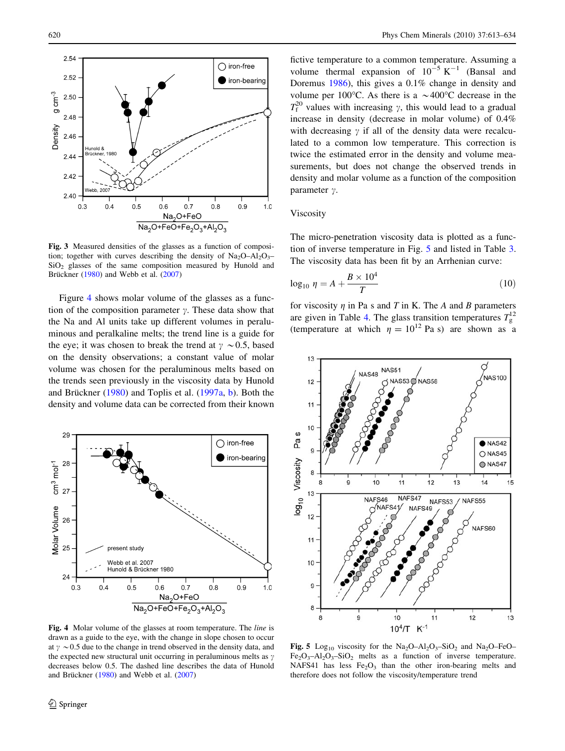<span id="page-7-0"></span>

Fig. 3 Measured densities of the glasses as a function of composition; together with curves describing the density of  $Na<sub>2</sub>O-AI<sub>2</sub>O<sub>3</sub>$  $SiO<sub>2</sub>$  glasses of the same composition measured by Hunold and Brückner [\(1980](#page-20-0)) and Webb et al. ([2007\)](#page-21-0)

Figure 4 shows molar volume of the glasses as a function of the composition parameter  $\gamma$ . These data show that the Na and Al units take up different volumes in peraluminous and peralkaline melts; the trend line is a guide for the eye; it was chosen to break the trend at  $\gamma \sim 0.5$ , based on the density observations; a constant value of molar volume was chosen for the peraluminous melts based on the trends seen previously in the viscosity data by Hunold and Brückner  $(1980)$  $(1980)$  and Toplis et al.  $(1997a, b)$  $(1997a, b)$  $(1997a, b)$  $(1997a, b)$ . Both the density and volume data can be corrected from their known



Fig. 4 Molar volume of the glasses at room temperature. The line is drawn as a guide to the eye, with the change in slope chosen to occur at  $\gamma \sim 0.5$  due to the change in trend observed in the density data, and the expected new structural unit occurring in peraluminous melts as  $\gamma$ decreases below 0.5. The dashed line describes the data of Hunold and Brückner  $(1980)$  $(1980)$  and Webb et al.  $(2007)$ 

fictive temperature to a common temperature. Assuming a volume thermal expansion of  $10^{-5}$  K<sup>-1</sup> (Bansal and Doremus [1986\)](#page-20-0), this gives a 0.1% change in density and volume per 100°C. As there is a  $\sim$ 400°C decrease in the  $T_f^{20}$  values with increasing  $\gamma$ , this would lead to a gradual increase in density (decrease in molar volume) of 0.4% with decreasing  $\gamma$  if all of the density data were recalculated to a common low temperature. This correction is twice the estimated error in the density and volume measurements, but does not change the observed trends in density and molar volume as a function of the composition parameter  $\gamma$ .

## Viscosity

The micro-penetration viscosity data is plotted as a function of inverse temperature in Fig. 5 and listed in Table [3.](#page-8-0) The viscosity data has been fit by an Arrhenian curve:

$$
\log_{10} \eta = A + \frac{B \times 10^4}{T} \tag{10}
$$

for viscosity  $\eta$  in Pa s and T in K. The A and B parameters are given in Table [4.](#page-10-0) The glass transition temperatures  $T_g^{12}$ (temperature at which  $\eta = 10^{12}$  Pa s) are shown as a



Fig. 5 Log<sub>10</sub> viscosity for the Na<sub>2</sub>O–Al<sub>2</sub>O<sub>3</sub>–SiO<sub>2</sub> and Na<sub>2</sub>O–FeO–  $Fe<sub>2</sub>O<sub>3</sub> - Al<sub>2</sub>O<sub>3</sub> - SiO<sub>2</sub>$  melts as a function of inverse temperature. NAFS41 has less  $Fe<sub>2</sub>O<sub>3</sub>$  than the other iron-bearing melts and therefore does not follow the viscosity/temperature trend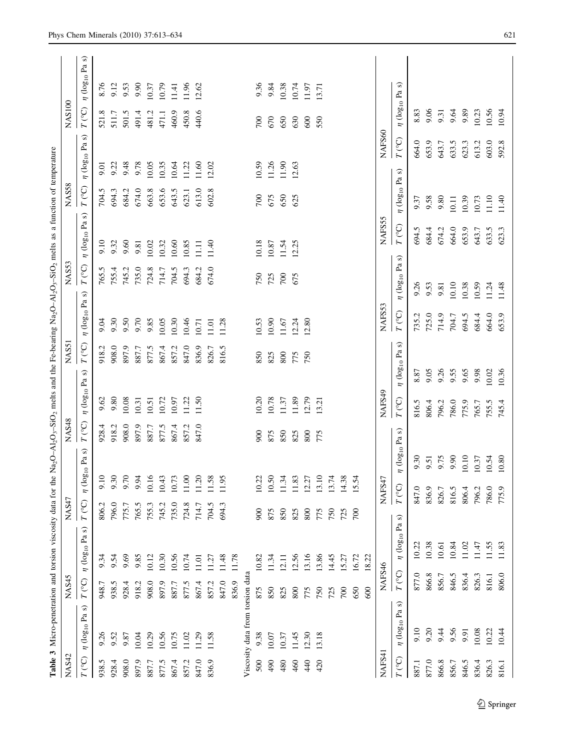<span id="page-8-0"></span>

|                     | <b>Table 3</b> Micro-penetration and torsion viscosity data for the Na <sub>2</sub> O <sub>2</sub> -SiO <sub>2</sub> melts and the Fe-bearing Na <sub>2</sub> O <sub>2</sub> -A1 <sub>2</sub> O <sub>3</sub> -SiO <sub>2</sub> melts as a function of temperature |                           |                              |                  |                                                   |                        |                         |                       |                              |                                                  |                                   |                                               |                                    |                               |                          |
|---------------------|-------------------------------------------------------------------------------------------------------------------------------------------------------------------------------------------------------------------------------------------------------------------|---------------------------|------------------------------|------------------|---------------------------------------------------|------------------------|-------------------------|-----------------------|------------------------------|--------------------------------------------------|-----------------------------------|-----------------------------------------------|------------------------------------|-------------------------------|--------------------------|
| <b>NAS42</b>        |                                                                                                                                                                                                                                                                   | NAS4:                     |                              | NAS47            |                                                   | <b>NAS48</b>           |                         | NAS5                  |                              | NAS53                                            |                                   | <b>NAS58</b>                                  |                                    | <b>NAS100</b>                 |                          |
| $T\,^{\rm (o}C)$    | ි<br>$\eta$ (log $_{10}$ Pa                                                                                                                                                                                                                                       | $T\,^{\rm (^{\rm o}\!C)}$ | ଇ<br>n (log <sub>10</sub> Pa | $T\,^{\rm (OC)}$ | $\eta$ (log <sub>10</sub> Pa <sub>s</sub> )       | $T\,^{\rm o}\!{\rm C}$ | n (log <sub>10</sub> Pa | $T\,^{\rm (OC)}$<br>ଇ | $\eta$ (log <sub>10</sub> Pa | $T\,^{\rm (°C)}$<br>$\Omega$                     | ි<br>$\eta$ (log <sub>10</sub> Pa | $T\,^{\rm o}\!{\rm C}$                        | $\Omega$<br>$\eta$ (log $_{10}$ Pa | $T\,^{\rm (OC)}$              | $\eta$ (log $_{10}$ Pas) |
| 938.5               | 9.26                                                                                                                                                                                                                                                              | 948.7                     | 9.34                         | 806.2            | 9.10<br>9.30                                      | 928.4                  | 9.62                    | 918.2                 | 9.04                         | 765.5                                            | 9.10                              | 704.5                                         | 9.01                               | 521.8                         | 8.76                     |
| 928.4               | 9.52                                                                                                                                                                                                                                                              | 938.5                     | 9.54                         | 796.0            |                                                   | 918.2                  | 9.80                    | 908.0                 | 9.30                         | 755.4                                            | 9.32                              | 694.3                                         | 9.22                               | 511.7                         | 9.12                     |
| 908.0               | 9.87                                                                                                                                                                                                                                                              | 928.4                     | 9.69                         | 775.7            | 9.70                                              | 908.0                  | 10.08                   | 897.9                 | 9.50                         | 745.2                                            | 9.60                              | 684.2                                         | 9.48                               | 501.5                         | 9.53                     |
| 897.9               | 10.04                                                                                                                                                                                                                                                             | 918.2                     | 9.85                         | 765.5            | 9.94                                              | 897.9                  | 10.31                   | 887.7                 | 9.70                         | 735.0                                            | 9.81                              | 674.0                                         | 9.78                               | 491.4                         | 9.90                     |
| 887.7               | 10.29                                                                                                                                                                                                                                                             | 908.0                     | 10.12                        | 755.3            | $\circ$<br>10.1                                   | 887.7                  | 10.51                   | 877.5                 | 9.85                         | 724.8                                            | 10.02                             | 663.8                                         | 10.05                              | 481.2                         | 10.37                    |
| 877.5               | 10.56                                                                                                                                                                                                                                                             | 897.9                     | 10.30                        | 745.2            |                                                   | 877.5                  | 10.72                   | 867.4                 | 10.05                        | 714.7                                            | 10.32                             | 653.6                                         | 10.35                              | 471.1                         | 10.79                    |
| 867.4               | 10.75                                                                                                                                                                                                                                                             | 887.7                     | 10.56                        | 735.0            | $10.43$<br>10.73<br>11.00                         | 867.4                  | 10.97                   | 857.2                 | 10.30                        | 704.5                                            | 10.60                             | 643.5                                         | 10.64                              | 460.9                         | 11.41                    |
| 857.2               | 11.02                                                                                                                                                                                                                                                             | 877.5                     | 10.74                        | 724.8            |                                                   | 857.2                  | 11.22                   | 847.0                 | 10.46                        | 694.3                                            | 10.85                             | 623.1                                         | 11.22                              | 450.8                         | 11.96                    |
| 847.0               | 11.29                                                                                                                                                                                                                                                             | 867.4                     | 11.01                        | 714.7            | 11.20                                             | 847.0                  | 11.50                   | 836.9                 | 10.71                        | 684.2                                            | 11.11                             | 613.0                                         | 11.60                              | 440.6                         | 12.62                    |
| 836.9               | 11.58                                                                                                                                                                                                                                                             | 857.2                     | 11.27                        | 704.5            | 11.58                                             |                        |                         | 826.7                 | 11.01                        | 674.0                                            | 11.40                             | 602.8                                         | 12.02                              |                               |                          |
|                     |                                                                                                                                                                                                                                                                   | 847.0                     | 11.48                        | 694.3            | 11.95                                             |                        |                         | 816.5                 | 11.28                        |                                                  |                                   |                                               |                                    |                               |                          |
|                     |                                                                                                                                                                                                                                                                   | 836.9                     | 11.78                        |                  |                                                   |                        |                         |                       |                              |                                                  |                                   |                                               |                                    |                               |                          |
|                     | Viscosity data from torsion data                                                                                                                                                                                                                                  |                           |                              |                  |                                                   |                        |                         |                       |                              |                                                  |                                   |                                               |                                    |                               |                          |
| 500                 | 9.38                                                                                                                                                                                                                                                              | 875                       | 10.82                        | 900              | 10.22                                             | 900                    | 10.20                   | 850                   | 10.53                        | 750                                              | 10.18                             | 700                                           | 10.59                              | 700                           | 9.36                     |
| 490                 | 10.07                                                                                                                                                                                                                                                             | 850                       | 11.34                        | 875              | 10.50                                             | 875                    | 10.78                   | 825                   | 10.90                        | 725                                              | 10.87                             | 675                                           | 11.26                              | 670                           | 9.84                     |
| 480                 | 10.37                                                                                                                                                                                                                                                             | 825                       | 12.11                        | 850              | 11.34                                             | 850                    | 11.37                   | 800                   | 11.67                        | 700                                              | 11.54                             | 650                                           | 11.90                              | 650                           | 10.38                    |
| 460                 | 11.45                                                                                                                                                                                                                                                             | 800                       | 12.56                        | 825              | $11.83$<br>$12.27$                                | 825                    | 11.89                   | 775                   | 12.24                        | 675                                              | 12.25                             | 625                                           | 12.63                              | 630                           | 10.74                    |
| 440                 | 12.30                                                                                                                                                                                                                                                             | 775                       | 13.16                        | 800              |                                                   | 800                    | 12.79                   | 750                   | 12.80                        |                                                  |                                   |                                               |                                    | 600                           | 11.97                    |
| 420                 | 13.18                                                                                                                                                                                                                                                             | 750                       | 13.86                        | 775              | 13.10                                             | 775                    | 13.21                   |                       |                              |                                                  |                                   |                                               |                                    | 550                           | 13.71                    |
|                     |                                                                                                                                                                                                                                                                   | 725                       | 14.45                        | 750              | 13.74                                             |                        |                         |                       |                              |                                                  |                                   |                                               |                                    |                               |                          |
|                     |                                                                                                                                                                                                                                                                   | 700                       | 15.27                        | 725              | 14.38                                             |                        |                         |                       |                              |                                                  |                                   |                                               |                                    |                               |                          |
|                     |                                                                                                                                                                                                                                                                   | 650                       | 16.72                        | $\approx$        | 15.54                                             |                        |                         |                       |                              |                                                  |                                   |                                               |                                    |                               |                          |
|                     |                                                                                                                                                                                                                                                                   | 600                       | 18.22                        |                  |                                                   |                        |                         |                       |                              |                                                  |                                   |                                               |                                    |                               |                          |
| NAFS41              |                                                                                                                                                                                                                                                                   | NAFS46                    |                              |                  | NAFS47                                            |                        | NAFS49                  |                       | NAFS53                       |                                                  | NAFS55                            |                                               | NAFS60                             |                               |                          |
| $T$ <sup>(°C)</sup> | $\Omega$<br>(log <sub>10</sub> Pa<br>$\overline{r}$                                                                                                                                                                                                               | $T\,^{\rm (°C)}$          | $\eta$ (1<br>og $_1$ Pa      | $\Omega$         | $\eta$ (1<br>og $_1$ Pa<br>$T\,^{\rm o}\!{\rm C}$ | ି                      | 11<br>$T$ (°C)          | ଇ<br>$(log_{10} Pa$   | $T$ (°C)                     | ಾ<br>$(\log_{10}\,\mathrm{Pa}$<br>$\overline{r}$ | $T$ (°C)                          | $(\log_{10} \, \mathrm{Pa}$<br>$\overline{r}$ | $T$ (°C)<br>ಾ                      | $(\log_{10} \mathrm{Pa}$<br>7 | $\Omega$                 |
| 887.1               | 9.10                                                                                                                                                                                                                                                              | 877.0                     | 10.22                        |                  | 9.30<br>847.0                                     |                        | 816.5                   | 8.87                  | 735.2                        | 9.26                                             | 694.5                             | 9.37                                          | 664.0                              | 8.83                          |                          |
| 877.0               | 9.20                                                                                                                                                                                                                                                              | 866.8                     | 10.38                        |                  | 9.51<br>836.9                                     |                        | 806.4                   | 9.05                  | 725.0                        | 9.53                                             | 684.4                             |                                               | 653.9                              | 9.06                          |                          |
| 866.8               | 9.44                                                                                                                                                                                                                                                              | 856.7                     | 10.61                        |                  | 9.75<br>826.7                                     |                        | 796.2                   | 9.26                  | 714.9                        | 9.81                                             | 674.2                             | $9.58$<br>$9.80$                              | 643.7                              | 9.31                          |                          |
| 856.7               | 9.56                                                                                                                                                                                                                                                              | 846.5                     | 10.84                        |                  | 9.90<br>816.5                                     |                        | 786.0                   | 9.55                  | 704.7                        | 10.10                                            | 664.0                             | 10.11                                         | 633.5                              | 9.64                          |                          |
| 846.5               | 9.91                                                                                                                                                                                                                                                              | 836.4                     | 11.02                        |                  | 10.10<br>806.4                                    |                        | 775.9                   | 9.65                  | 694.5                        | 10.38                                            | 653.9                             | 10.39                                         | 623.3                              | 9.89                          |                          |
| 836.4               | 10.08                                                                                                                                                                                                                                                             | 826.3                     | 11.47                        |                  | 10.37<br>796.2                                    |                        | 765.7                   | 9.98                  | 684.4                        | 10.59                                            | 643.7                             | 10.73                                         | 613.2                              | 10.23                         |                          |
| 826.3               | 10.22                                                                                                                                                                                                                                                             | 816.1                     | 11.55                        |                  | 10.54<br>786.0                                    |                        | 755.5                   | 10.02                 | 664.0                        | 11.24                                            | 633.5                             | 11.10                                         | 603.0                              | 10.56                         |                          |
| 816.1               | 10.44                                                                                                                                                                                                                                                             | 806.0                     | 11.83                        |                  | 10.80<br>775.9                                    |                        | 745.4                   | 10.36                 | 653.9                        | 11.48                                            | 623.3                             | 11.40                                         | 592.8                              | 10.94                         |                          |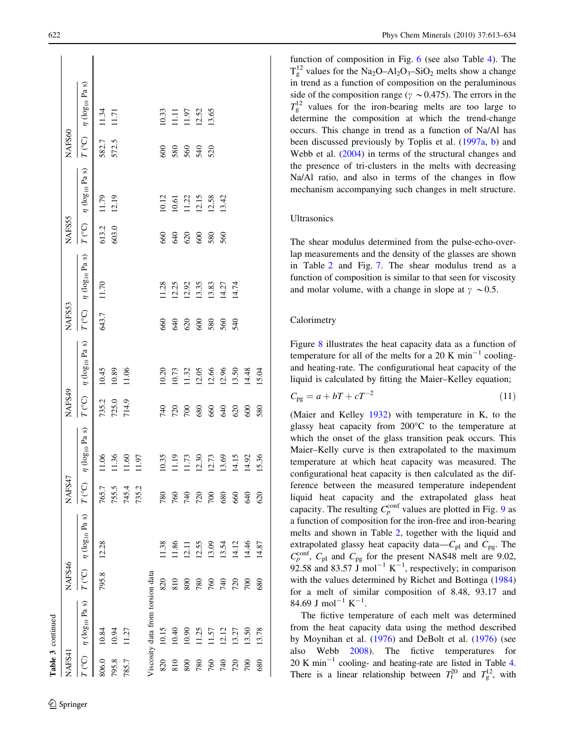|                                          | Table 3 continued                                                                             |             |                |                    |                           |                |                                                                 |        |                                                                          |                         |                                                                 |        |                                              |
|------------------------------------------|-----------------------------------------------------------------------------------------------|-------------|----------------|--------------------|---------------------------|----------------|-----------------------------------------------------------------|--------|--------------------------------------------------------------------------|-------------------------|-----------------------------------------------------------------|--------|----------------------------------------------|
| NAFS41                                   |                                                                                               | NAFS46      |                | NAFS47             |                           | NAFS49         |                                                                 | NAFS53 |                                                                          | NAFS55                  |                                                                 | NAFS60 |                                              |
|                                          | $T(^{\circ}C)$ $\eta$ (log <sub>10</sub> Pa s) $T(^{\circ}C)$ $\eta$ (log <sub>10</sub> Pa s) |             |                | $\frac{1}{T(C)}$   | $\eta$ (log $_{10}$ Pa s) |                | $T({}^{o}C)$ $\eta$ (log <sub>10</sub> Pa s)                    |        | $T({}^{\circ}C)$ $\eta$ (log <sub>10</sub> Pa s)                         |                         | $T({}^{\circ}C)$ $\eta$ (log <sub>10</sub> Pa s)                |        | $T({}^{o}C)$ $\eta$ (log <sub>10</sub> Pa s) |
| 806.0                                    | 10.84                                                                                         | 795.8 12.28 |                | 765.7              | 11.06                     | 735.2          |                                                                 | 643.7  | 11.70                                                                    | 613.2                   | 11.79                                                           | 582.7  | $11.34$<br>11.71                             |
|                                          |                                                                                               |             |                | 755.5              | 11.36                     | 725.0<br>714.9 | $\begin{array}{c} 10.45 \\ 10.89 \\ 11.06 \end{array}$          |        |                                                                          | 603.0                   | 12.19                                                           | 572.5  |                                              |
| 795.8<br>785.7                           | $10.94$<br>11.27                                                                              |             |                |                    | 11.60<br>11.97            |                |                                                                 |        |                                                                          |                         |                                                                 |        |                                              |
|                                          |                                                                                               |             |                | 745.4<br>735.2     |                           |                |                                                                 |        |                                                                          |                         |                                                                 |        |                                              |
|                                          | Viscosity data from torsion data                                                              |             |                |                    |                           |                |                                                                 |        |                                                                          |                         |                                                                 |        |                                              |
| 820                                      | 10.15                                                                                         | 820         | 11.38          |                    | 10.35                     | 740            | 10.20                                                           | 660    | 11.28                                                                    | 660                     | 10.12                                                           |        | 10.33                                        |
| 810                                      | 10.40                                                                                         | 810         | 11.86          | $\frac{1}{260}$    | 11.19                     | 720            |                                                                 | 640    |                                                                          | 640                     |                                                                 |        |                                              |
| $\begin{array}{c} 800 \\ 80 \end{array}$ | 10.90                                                                                         | $800\,$     | $12.11$        | 0tZ                | 11.73                     | 700            | $\begin{array}{c} 10.73 \\ 11.32 \\ 12.05 \\ 12.66 \end{array}$ | 620    | $\begin{array}{c} 12.25 \\ 12.92 \\ 13.35 \\ 13.83 \\ 14.27 \end{array}$ | $620$<br>$600$<br>$580$ | $\begin{array}{c} 10.61 \\ 11.22 \\ 12.15 \\ 12.58 \end{array}$ |        | 11.11<br>11.97<br>12.52                      |
|                                          |                                                                                               | 780         | 12.55<br>13.09 | 720                | 12.30                     | 680            |                                                                 | 600    |                                                                          |                         |                                                                 |        |                                              |
| 760                                      |                                                                                               | 760         |                | $\frac{0.89}{000}$ | 12.73                     | 660            |                                                                 | 580    |                                                                          |                         |                                                                 |        | 13.65                                        |
| 0t/                                      | $\begin{array}{c} 11.25 \\ 11.57 \\ 12.12 \\ 13.27 \end{array}$                               | 0t/L        | 13.54          |                    | 13.69                     | 640            | 12.96                                                           | 560    |                                                                          | 560                     | 13.42                                                           |        |                                              |
| 720                                      |                                                                                               | 720         | 14.12          | 660                | 14.15                     | 620            | 13.50                                                           | 540    | 14.74                                                                    |                         |                                                                 |        |                                              |
| $700\,$                                  | 13.50                                                                                         | 700         | 14.46          | 640                | 14.92                     | 600            | 14.48                                                           |        |                                                                          |                         |                                                                 |        |                                              |
| 680                                      | 13.78                                                                                         | 680         | 14.87          | 620                | 15.36                     | 580            | 15.04                                                           |        |                                                                          |                         |                                                                 |        |                                              |

Table 3 and described

function of composition in Fig. [6](#page-11-0) (see also Table [4](#page-10-0)). The  $T_g^{12}$  values for the Na<sub>2</sub>O-Al<sub>2</sub>O<sub>3</sub>-SiO<sub>2</sub> melts show a change in trend as a function of composition on the peraluminous side of the composition range ( $\gamma \sim 0.475$ ). The errors in the  $T_g^{12}$  values for the iron-bearing melts are too large to determine the composition at which the trend-change occurs. This change in trend as a function of Na/Al has been discussed previously by Toplis et al. [\(1997a](#page-21-0), [b\)](#page-21-0) and Webb et al. [\(2004](#page-21-0)) in terms of the structural changes and the presence of tri-clusters in the melts with decreasing Na/Al ratio, and also in terms of the changes in flow mechanism accompanying such changes in melt structure.

# Ultrasonics

The shear modulus determined from the pulse-echo-overlap measurements and the density of the glasses are shown in Table [2](#page-6-0) and Fig. [7](#page-11-0). The shear modulus trend as a function of composition is similar to that seen for viscosity and molar volume, with a change in slope at  $\gamma \sim 0.5$ .

# Calorimetry

Figure [8](#page-11-0) illustrates the heat capacity data as a function of temperature for all of the melts for a 20 K  $min^{-1}$  coolingand heating-rate. The configurational heat capacity of the liquid is calculated by fitting the Maier–Kelley equation;

$$
C_{\text{pg}} = a + bT + cT^{-2} \tag{11}
$$

(Maier and Kelley [1932\)](#page-21-0) with temperature in K, to the glassy heat capacity from 200 C to the temperature at which the onset of the glass transition peak occurs. This Maier–Kelly curve is then extrapolated to the maximum temperature at which heat capacity was measured. The configurational heat capacity is then calculated as the difference between the measured temperature independent liquid heat capacity and the extrapolated glass heat capacity. The resulting  $C_p^{\text{conf}}$  values are plotted in Fig. [9](#page-12-0) as a function of composition for the iron-free and iron-bearing melts and shown in Table [2](#page-6-0), together with the liquid and extrapolated glassy heat capacity data— $C_{\text{pl}}$  and  $C_{\text{pg}}$ . The  $C_p^{\text{conf}}$ ,  $C_{\text{pl}}$  and  $C_{\text{pg}}$  for the present NAS48 melt are 9.02, 92.58 and 83.57  $\widetilde{J}$  mol<sup>-1</sup> K<sup>-1</sup>, respectively; in comparison with the values determined by Richet and Bottinga ([1984](#page-21-0) ) for a melt of similar composition of 8.48, 93.17 and 84.69 J mol<sup>-1</sup> K<sup>-1</sup>.

The fictive temperature of each melt was determined from the heat capacity data using the method described by Moynihan et al. ([1976\)](#page-21-0) and DeBolt et al. ([1976\)](#page-20-0) (see also Webb [2008\)](#page-21-0). The fictive temperatures for  $20$  K min<sup>-1</sup> cooling- and heating-rate are listed in Table [4](#page-10-0). There is a linear relationship between  $T_f^{20}$  and  $T_g^{12}$ , with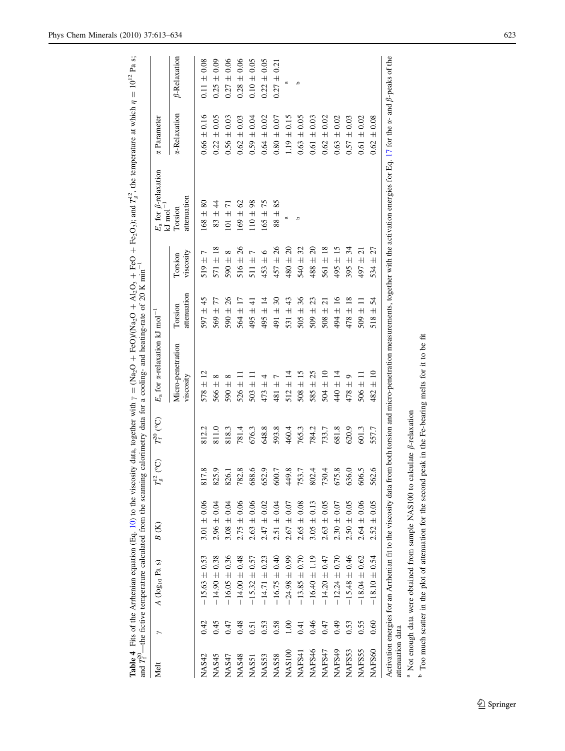<span id="page-10-0"></span>

|                  |                |                                                                                                |                 |                       |                                         | and $T_f^{20}$ —the fictive temperature calculated from the scanning calorimetry data for a cooling- and heating-rate of 20 K min <sup>-1</sup> |                                         |                                       |                                                                                                                                                                                                                    |                        |                     |
|------------------|----------------|------------------------------------------------------------------------------------------------|-----------------|-----------------------|-----------------------------------------|-------------------------------------------------------------------------------------------------------------------------------------------------|-----------------------------------------|---------------------------------------|--------------------------------------------------------------------------------------------------------------------------------------------------------------------------------------------------------------------|------------------------|---------------------|
| Melt             |                | A (log <sub>10</sub> Pa s)                                                                     | B(K)            | $T_{\rm g}^{12}$ (°C) | $\widetilde{C}$<br>$T_{\rm f}^{\rm 20}$ | $E_a$ for <i>x</i> -relaxation kJ mol <sup>-1</sup>                                                                                             |                                         |                                       | $E_a$ for $\beta$ -relaxation<br>$kJ$ mol <sup>-</sup>                                                                                                                                                             | $\alpha$ Parameter     |                     |
|                  |                |                                                                                                |                 |                       |                                         | Micro-penetration<br>viscosity                                                                                                                  | attenuation<br>Torsion                  | viscosity<br>Torsion                  | attenuation<br>Torsion                                                                                                                                                                                             | x-Relaxation           | $\beta$ -Relaxation |
| NAS42            | 0.42           | $-15.63 \pm 0.53$                                                                              | $3.01 \pm 0.06$ | 7.8<br>≅              | 812.2                                   | $578 \pm 12$                                                                                                                                    | 597 $\pm$ 45                            | Γ<br>$519 \pm$                        | 80<br>$168 \pm$                                                                                                                                                                                                    | $0.66 \pm 0.16$        | $0.11 \pm 0.08$     |
| NAS45            | 0.45           | $-14.90 \pm 0.38$                                                                              | $2.96 \pm 0.04$ | 825.9                 | 811.0                                   | ∞<br>$566 \pm$                                                                                                                                  | $569 \pm 77$                            | $571 \pm 18$                          | $\overline{4}$<br>$83 \pm$                                                                                                                                                                                         | $\pm 0.05$<br>0.22:    | $\pm 0.09$<br>0.25  |
| NAS47            | 0.47           | $-16.05 \pm 0.36$                                                                              | $3.08 \pm 0.04$ | 826.1                 | 818.3                                   | ∞<br>590 $\pm$                                                                                                                                  | ± 26<br>590                             | $\infty$<br>$\overline{+}$<br>$590$ : | 71<br>$101 \pm 7$                                                                                                                                                                                                  | $0.56 \pm 0.03$        | $0.27 \pm 0.06$     |
| <b>NAS48</b>     | 0.48           | $-14.00 \pm 0.48$                                                                              | $2.75 \pm 0.06$ | 782.8                 | 781.4                                   | $526 \pm 11$                                                                                                                                    | ± 17<br>564                             | $516 \pm 26$                          | $\mathcal{O}$<br>$169 \pm$                                                                                                                                                                                         | $0.62 \pm 0.03$        | $0.28 \pm 0.06$     |
| NAS51            | 0.51           | $-15.32 \pm 0.57$                                                                              | $2.63 \pm 0.06$ | 688.6                 | 676.3                                   | $503 \pm 11$                                                                                                                                    | $\overline{+}$<br>$\overline{+}$<br>495 | 7<br>$511 \pm$                        | $110 \pm 98$                                                                                                                                                                                                       | $0.59 \pm 0.04$        | $0.10 \pm 0.05$     |
| NAS53            | 0.53           | $-14.71 \pm 0.23$                                                                              | $2.47 \pm 0.02$ | 652.9                 | 648.8                                   | 4<br>$473 \pm$                                                                                                                                  | $\pm$ 14<br>495                         | ७<br>$\overline{+}$<br>453            | 75<br>$165 \pm$                                                                                                                                                                                                    | $0.64 \pm 0.02$        | $0.22 \pm 0.05$     |
| <b>NAS58</b>     | 0.58           | $-16.75 \pm 0.40$                                                                              | $2.51 \pm 0.04$ | 600.7                 | 593.8                                   | L<br>481 ±                                                                                                                                      | $\Im$<br>$\overline{+}$<br>491          | 26<br>$\overline{+}$<br>457           | 85<br>$88 +$                                                                                                                                                                                                       | $\pm 0.07$<br>0.80     | $0.27 \pm 0.21$     |
| <b>NAS100</b>    | 00.1           | $-24.98 \pm 0.99$                                                                              | $2.67 \pm 0.07$ | 449.8                 | 460.4                                   | $\overline{4}$<br>$512 \pm$                                                                                                                     | 43<br>$\overline{+}$<br>531             | $\overline{c}$<br>480 ±               | a                                                                                                                                                                                                                  | $\pm 0.15$<br>1.19     | a                   |
| NAFS41           | $\overline{1}$ | $-13.85 \pm 0.70$                                                                              | $2.65 \pm 0.08$ | 753.7                 | 765.3                                   | 15<br>$508 \pm$                                                                                                                                 | 36<br>$\overline{+}$<br>505             | 32<br>540 ±                           | م                                                                                                                                                                                                                  | $\pm 0.05$<br>0.63     | م                   |
| NAFS46           | 0.46           | $-16.40 \pm 1.19$                                                                              | $3.05 \pm 0.13$ | 802.4                 | 784.2                                   | $585 \pm 25$                                                                                                                                    | $\pm 23$<br>509                         | $\Omega$<br>488 ±                     |                                                                                                                                                                                                                    | $\pm 0.03$<br>0.61     |                     |
| NAFS47           | 0.47           | $-14.20 \pm 0.47$                                                                              | $2.63 \pm 0.05$ | 730.4                 | 733.7                                   | $504 \pm 10$                                                                                                                                    | ±21<br>508                              | $561 \pm 18$                          |                                                                                                                                                                                                                    | $\pm 0.02$<br>0.62.    |                     |
| NAFS49           | 0.49           | $-12.24 \pm 0.70$                                                                              | $2.30 \pm 0.07$ | 675.8                 | 681.8                                   | $440 \pm 14$                                                                                                                                    | $\pm 16$<br>494                         | $495 \pm 15$                          |                                                                                                                                                                                                                    | $\pm 0.02$<br>$0.63$ : |                     |
| NAFS53           | 0.53           | $-15.48 \pm 0.46$                                                                              | $2.50 \pm 0.05$ | 636.0                 | 620.9                                   | Φ<br>478 ±                                                                                                                                      | ±18<br>478                              | $395 \pm 34$                          |                                                                                                                                                                                                                    | $0.57 \pm 0.03$        |                     |
| NAFS55           | 0.55           | $-18.04 \pm 0.62$                                                                              | $2.64 \pm 0.06$ | 606.5                 | 601.3                                   | $506 \pm 11$                                                                                                                                    | $509 \pm 11$                            | $\overline{c}$<br>497 ±               |                                                                                                                                                                                                                    | $0.61 \pm 0.02$        |                     |
| NAFS60           | 0.60           | $-18.10 \pm 0.54$                                                                              | $2.52 \pm 0.05$ | 562.6                 | 557.7                                   | $482 \pm 10$                                                                                                                                    | 54<br>$\overline{+}$<br>518             | 27<br>$534 \pm$                       |                                                                                                                                                                                                                    | $0.62 \pm 0.08$        |                     |
| attenuation data |                |                                                                                                |                 |                       |                                         |                                                                                                                                                 |                                         |                                       | Activation energies for an Arrhenian fit to the viscosity data from both torsion and micro-penertation measurements, together with the activation energies for Eq. 17 for the $\alpha$ - and $\beta$ -peaks of the |                        |                     |
|                  |                | <sup>a</sup> Not enough data were obtained from sample NAS100 to calculate $\beta$ -relaxation |                 |                       |                                         |                                                                                                                                                 |                                         |                                       |                                                                                                                                                                                                                    |                        |                     |

<sup>b</sup> Too much scatter in the plot of attenuation for the second peak in the Fe-bearing melts for it to be fit Too much scatter in the plot of attenuation for the second peak in the Fe-bearing melts for it to be fit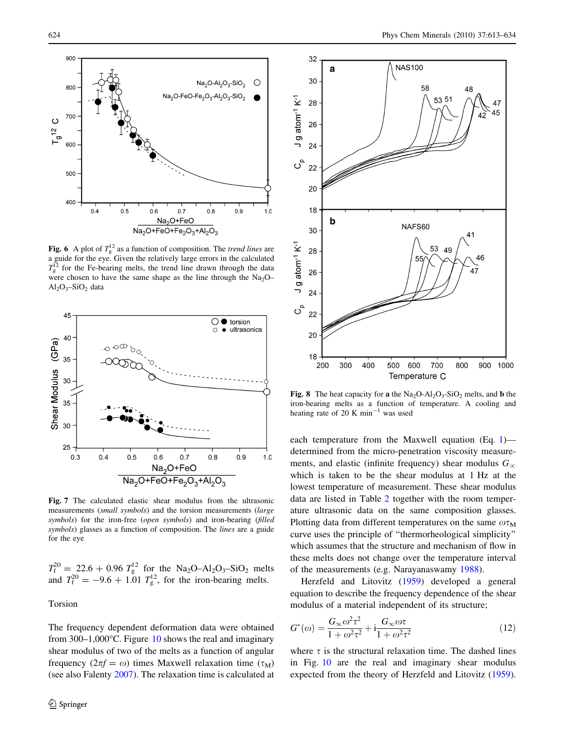<span id="page-11-0"></span>

**Fig. 6** A plot of  $T_g^{12}$  as a function of composition. The *trend lines* are a guide for the eye. Given the relatively large errors in the calculated  $T_{\rm g}^{\rm I}$ for the Fe-bearing melts, the trend line drawn through the data were chosen to have the same shape as the line through the  $Na<sub>2</sub>O Al_2O_3-SiO_2$  data



Fig. 7 The calculated elastic shear modulus from the ultrasonic measurements (small symbols) and the torsion measurements (large symbols) for the iron-free (*open symbols*) and iron-bearing (filled symbols) glasses as a function of composition. The *lines* are a guide for the eye

 $T_{\rm f}^{20}$  = 22.6 + 0.96  $T_{\rm g}^{12}$  for the Na<sub>2</sub>O–Al<sub>2</sub>O<sub>3</sub>–SiO<sub>2</sub> melts and  $T_f^{20} = -9.6 + 1.01 T_g^{12}$ , for the iron-bearing melts.

Torsion

The frequency dependent deformation data were obtained from  $300-1,000$ °C. Figure [10](#page-12-0) shows the real and imaginary shear modulus of two of the melts as a function of angular frequency ( $2\pi f = \omega$ ) times Maxwell relaxation time ( $\tau_M$ ) (see also Falenty [2007\)](#page-20-0). The relaxation time is calculated at



Fig. 8 The heat capacity for a the  $Na<sub>2</sub>O-Al<sub>2</sub>O<sub>3</sub>-SiO<sub>2</sub>$  melts, and **b** the iron-bearing melts as a function of temperature. A cooling and heating rate of 20 K  $min^{-1}$  was used

each temperature from the Maxwell equation (Eq. [1\)](#page-1-0) determined from the micro-penetration viscosity measurements, and elastic (infinite frequency) shear modulus  $G_{\infty}$ which is taken to be the shear modulus at 1 Hz at the lowest temperature of measurement. These shear modulus data are listed in Table [2](#page-6-0) together with the room temperature ultrasonic data on the same composition glasses. Plotting data from different temperatures on the same  $\omega\tau_M$ curve uses the principle of ''thermorheological simplicity'' which assumes that the structure and mechanism of flow in these melts does not change over the temperature interval of the measurements (e.g. Narayanaswamy [1988](#page-21-0)).

Herzfeld and Litovitz ([1959\)](#page-20-0) developed a general equation to describe the frequency dependence of the shear modulus of a material independent of its structure;

$$
G^*(\omega) = \frac{G_{\infty}\omega^2\tau^2}{1 + \omega^2\tau^2} + i\frac{G_{\infty}\omega\tau}{1 + \omega^2\tau^2}
$$
(12)

where  $\tau$  is the structural relaxation time. The dashed lines in Fig. [10](#page-12-0) are the real and imaginary shear modulus expected from the theory of Herzfeld and Litovitz [\(1959](#page-20-0)).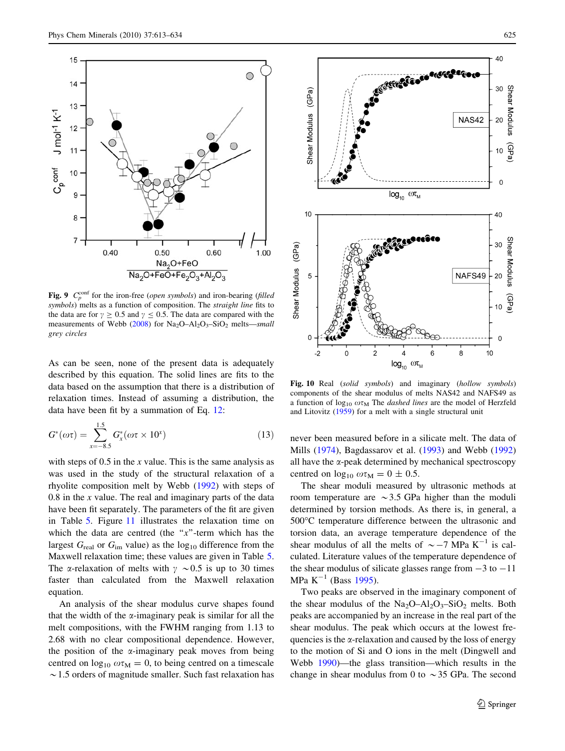<span id="page-12-0"></span>

Fig. 9  $C_p^{\text{conf}}$  for the iron-free (*open symbols*) and iron-bearing (filled symbols) melts as a function of composition. The *straight line* fits to the data are for  $\gamma \ge 0.5$  and  $\gamma \le 0.5$ . The data are compared with the measurements of Webb ([2008\)](#page-21-0) for  $Na<sub>2</sub>O-Al<sub>2</sub>O<sub>3</sub>$ -SiO<sub>2</sub> melts—small grey circles

As can be seen, none of the present data is adequately described by this equation. The solid lines are fits to the data based on the assumption that there is a distribution of relaxation times. Instead of assuming a distribution, the data have been fit by a summation of Eq. [12:](#page-11-0)

$$
G^*(\omega \tau) = \sum_{x=-8.5}^{1.5} G_x^*(\omega \tau \times 10^x)
$$
 (13)

with steps of  $0.5$  in the x value. This is the same analysis as was used in the study of the structural relaxation of a rhyolite composition melt by Webb [\(1992](#page-21-0)) with steps of 0.8 in the  $x$  value. The real and imaginary parts of the data have been fit separately. The parameters of the fit are given in Table [5](#page-13-0). Figure [11](#page-14-0) illustrates the relaxation time on which the data are centred (the " $x$ "-term which has the largest  $G_{\text{real}}$  or  $G_{\text{im}}$  value) as the log<sub>10</sub> difference from the Maxwell relaxation time; these values are given in Table [5.](#page-13-0) The  $\alpha$ -relaxation of melts with  $\gamma \sim 0.5$  is up to 30 times faster than calculated from the Maxwell relaxation equation.

An analysis of the shear modulus curve shapes found that the width of the  $\alpha$ -imaginary peak is similar for all the melt compositions, with the FWHM ranging from 1.13 to 2.68 with no clear compositional dependence. However, the position of the  $\alpha$ -imaginary peak moves from being centred on  $\log_{10} \omega \tau_M = 0$ , to being centred on a timescale  $\sim$  1.5 orders of magnitude smaller. Such fast relaxation has



Fig. 10 Real (solid symbols) and imaginary (hollow symbols) components of the shear modulus of melts NAS42 and NAFS49 as a function of  $\log_{10} \omega \tau_M$  The *dashed lines* are the model of Herzfeld and Litovitz ([1959\)](#page-20-0) for a melt with a single structural unit

never been measured before in a silicate melt. The data of Mills [\(1974](#page-21-0)), Bagdassarov et al. [\(1993](#page-20-0)) and Webb ([1992\)](#page-21-0) all have the  $\alpha$ -peak determined by mechanical spectroscopy centred on  $\log_{10} \omega \tau_M = 0 \pm 0.5$ .

The shear moduli measured by ultrasonic methods at room temperature are  $\sim$ 3.5 GPa higher than the moduli determined by torsion methods. As there is, in general, a 500°C temperature difference between the ultrasonic and torsion data, an average temperature dependence of the shear modulus of all the melts of  $\sim -7$  MPa K<sup>-1</sup> is calculated. Literature values of the temperature dependence of the shear modulus of silicate glasses range from  $-3$  to  $-11$ MPa  $K^{-1}$  (Bass [1995\)](#page-20-0).

Two peaks are observed in the imaginary component of the shear modulus of the  $Na<sub>2</sub>O-Al<sub>2</sub>O<sub>3</sub>-SiO<sub>2</sub>$  melts. Both peaks are accompanied by an increase in the real part of the shear modulus. The peak which occurs at the lowest frequencies is the  $\alpha$ -relaxation and caused by the loss of energy to the motion of Si and O ions in the melt (Dingwell and Webb [1990](#page-20-0))—the glass transition—which results in the change in shear modulus from 0 to  $\sim$  35 GPa. The second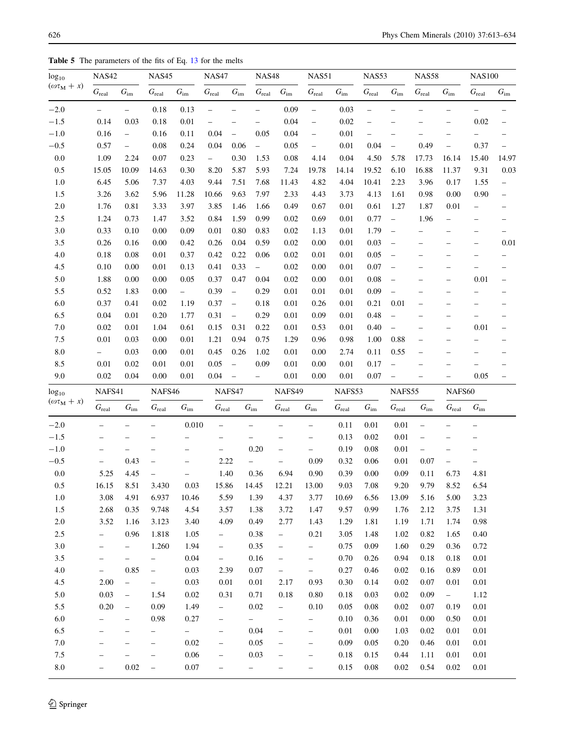<span id="page-13-0"></span>Table 5 The parameters of the fits of Eq. [13](#page-12-0) for the melts

| $log_{10}$            | <b>NAS42</b>             |                          | NAS <sub>45</sub>        |                          | <b>NAS47</b>             |                          | <b>NAS48</b>             |                          | NAS51                    |                | NAS53                    |                          | <b>NAS58</b>             |                          | <b>NAS100</b>            |              |
|-----------------------|--------------------------|--------------------------|--------------------------|--------------------------|--------------------------|--------------------------|--------------------------|--------------------------|--------------------------|----------------|--------------------------|--------------------------|--------------------------|--------------------------|--------------------------|--------------|
| $(\omega \tau_M + x)$ | $G_{\rm real}$           | $G_\mathrm{im}$          | $G_{\rm real}$           | $G_\mathrm{im}$          | $G_{\rm real}$           | $G_\mathrm{im}$          | $G_{\rm real}$           | $G_{\rm im}$             | $G_{\rm real}$           | $G_{\rm im}$   | $G_{\rm real}$           | $G_{\rm im}$             | $G_{\rm real}$           | $G_{\rm im}$             | $G_{\rm real}$           | $G_{\rm im}$ |
| $-2.0$                | $\equiv$                 | $\overline{\phantom{0}}$ | 0.18                     | 0.13                     | $\overline{\phantom{0}}$ | $\overline{\phantom{0}}$ | $\overline{\phantom{0}}$ | 0.09                     | $\overline{\phantom{0}}$ | 0.03           | $\equiv$                 | $\equiv$                 | $\qquad \qquad -$        |                          | $\overline{\phantom{0}}$ |              |
| $-1.5$                | 0.14                     | 0.03                     | 0.18                     | 0.01                     | $\overline{\phantom{0}}$ |                          | $\equiv$                 | 0.04                     | $\overline{\phantom{0}}$ | 0.02           | $\overline{\phantom{0}}$ |                          |                          |                          | 0.02                     |              |
| $-1.0$                | 0.16                     | $\qquad \qquad -$        | 0.16                     | 0.11                     | 0.04                     | $\overline{\phantom{0}}$ | 0.05                     | 0.04                     | $\overline{\phantom{0}}$ | 0.01           | $\equiv$                 |                          |                          |                          |                          |              |
| $-0.5$                | 0.57                     |                          | 0.08                     | 0.24                     | 0.04                     | 0.06                     | $\qquad \qquad -$        | 0.05                     | $\overline{\phantom{0}}$ | 0.01           | 0.04                     | $\overline{\phantom{0}}$ | 0.49                     |                          | 0.37                     |              |
| 0.0                   | 1.09                     | 2.24                     | 0.07                     | 0.23                     | -                        | 0.30                     | 1.53                     | 0.08                     | 4.14                     | 0.04           | 4.50                     | 5.78                     | 17.73                    | 16.14                    | 15.40                    | 14.97        |
| 0.5                   | 15.05                    | 10.09                    | 14.63                    | 0.30                     | 8.20                     | 5.87                     | 5.93                     | 7.24                     | 19.78                    | 14.14          | 19.52                    | 6.10                     | 16.88                    | 11.37                    | 9.31                     | 0.03         |
| 1.0                   | 6.45                     | 5.06                     | 7.37                     | 4.03                     | 9.44                     | 7.51                     | 7.68                     | 11.43                    | 4.82                     | 4.04           | 10.41                    | 2.23                     | 3.96                     | 0.17                     | 1.55                     |              |
| 1.5                   | 3.26                     | 3.62                     | 5.96                     | 11.28                    | 10.66                    | 9.63                     | 7.97                     | 2.33                     | 4.43                     | 3.73           | 4.13                     | 1.61                     | 0.98                     | 0.00                     | 0.90                     |              |
| 2.0                   | 1.76                     | 0.81                     | 3.33                     | 3.97                     | 3.85                     | 1.46                     | 1.66                     | 0.49                     | 0.67                     | 0.01           | 0.61                     | 1.27                     | 1.87                     | 0.01                     | $\overline{\phantom{0}}$ |              |
| 2.5                   | 1.24                     | 0.73                     | 1.47                     | 3.52                     | 0.84                     | 1.59                     | 0.99                     | 0.02                     | 0.69                     | 0.01           | 0.77                     | $\qquad \qquad -$        | 1.96                     |                          | $\overline{\phantom{0}}$ |              |
| 3.0                   | 0.33                     | 0.10                     | 0.00                     | 0.09                     | 0.01                     | 0.80                     | 0.83                     | 0.02                     | 1.13                     | 0.01           | 1.79                     | $\overline{\phantom{0}}$ |                          |                          | $\overline{\phantom{0}}$ |              |
| 3.5                   | 0.26                     | 0.16                     | 0.00                     | 0.42                     | 0.26                     | 0.04                     | 0.59                     | 0.02                     | $0.00\,$                 | 0.01           | 0.03                     | $\overline{\phantom{0}}$ |                          |                          | $\overline{\phantom{0}}$ | 0.01         |
| 4.0                   | 0.18                     | 0.08                     | 0.01                     | 0.37                     | 0.42                     | 0.22                     | 0.06                     | 0.02                     | 0.01                     | 0.01           | 0.05                     | $\overline{\phantom{0}}$ |                          |                          |                          |              |
| 4.5                   | 0.10                     | 0.00                     | 0.01                     | 0.13                     | 0.41                     | 0.33                     | $\overline{\phantom{0}}$ | 0.02                     | 0.00                     | 0.01           | 0.07                     | $\overline{\phantom{0}}$ |                          |                          |                          |              |
| 5.0                   | 1.88                     | 0.00                     | 0.00                     | 0.05                     | 0.37                     | 0.47                     | 0.04                     | 0.02                     | 0.00                     | 0.01           | 0.08                     | $\overline{\phantom{0}}$ |                          | $\overline{\phantom{0}}$ | 0.01                     |              |
| 5.5                   | 0.52                     | 1.83                     | 0.00                     | $\overline{\phantom{0}}$ | 0.39                     | $\overline{\phantom{0}}$ | 0.29                     | 0.01                     | 0.01                     | 0.01           | 0.09                     | $\overline{a}$           |                          |                          |                          |              |
| 6.0                   | 0.37                     | 0.41                     | 0.02                     | 1.19                     | 0.37                     | $\overline{\phantom{0}}$ | 0.18                     | 0.01                     | 0.26                     | 0.01           | 0.21                     | 0.01                     | Ē,                       |                          |                          |              |
| 6.5                   | 0.04                     | 0.01                     | 0.20                     | 1.77                     | 0.31                     | $\overline{\phantom{0}}$ | 0.29                     | 0.01                     | 0.09                     | 0.01           | 0.48                     | $\overline{\phantom{0}}$ |                          |                          | $\overline{\phantom{0}}$ |              |
| 7.0                   | 0.02                     | 0.01                     | 1.04                     | 0.61                     | 0.15                     | 0.31                     | 0.22                     | 0.01                     | 0.53                     | 0.01           | 0.40                     | $\overline{\phantom{0}}$ |                          |                          | 0.01                     |              |
| 7.5                   | $0.01\,$                 | 0.03                     | 0.00                     | 0.01                     | 1.21                     | 0.94                     | 0.75                     | 1.29                     | 0.96                     | 0.98           | 1.00                     | 0.88                     | $\overline{\phantom{0}}$ |                          |                          |              |
| 8.0                   | $\overline{\phantom{0}}$ | 0.03                     | 0.00                     | 0.01                     | 0.45                     | 0.26                     | 1.02                     | 0.01                     | 0.00                     | 2.74           | 0.11                     | 0.55                     | ÷                        |                          |                          |              |
| 8.5                   | 0.01                     | 0.02                     | 0.01                     | 0.01                     | 0.05                     | $\overline{\phantom{0}}$ | 0.09                     | 0.01                     | 0.00                     | 0.01           | 0.17                     | $\overline{\phantom{0}}$ |                          |                          |                          |              |
| 9.0                   | 0.02                     | 0.04                     | 0.00                     | 0.01                     | 0.04                     | $\overline{\phantom{0}}$ | $\overline{\phantom{0}}$ | 0.01                     | 0.00                     | 0.01           | 0.07                     | $\overline{\phantom{0}}$ | $\qquad \qquad -$        | $\overline{\phantom{0}}$ | 0.05                     |              |
| $log_{10}$            | NAFS41                   |                          | NAFS46                   |                          |                          | NAFS47                   |                          | NAFS49                   |                          | NAFS53         |                          | NAFS55                   |                          | NAFS60                   |                          |              |
| $(\omega \tau_M + x)$ | $G_{\rm real}$           | $G_{\rm im}$             | $G_{\rm real}$           | $G_{\rm im}$             | $G_{\rm real}$           |                          | $G_{\rm im}$             | $G_{\rm real}$           | $G_{\rm im}$             | $G_{\rm real}$ | $G_{\rm im}$             | $G_{\text{real}}$        | $G_{\rm im}$             | $G_{\text{real}}$        | $G_{\rm im}$             |              |
|                       |                          |                          |                          |                          |                          |                          |                          |                          |                          |                |                          |                          |                          |                          |                          |              |
| $-2.0$                |                          |                          |                          | 0.010                    | $\qquad \qquad -$        |                          | $\overline{\phantom{0}}$ | $\overline{\phantom{0}}$ | $\overline{\phantom{0}}$ | 0.11<br>0.13   | 0.01<br>0.02             | 0.01<br>0.01             | $\qquad \qquad -$        |                          |                          |              |
| $-1.5$                |                          |                          |                          |                          |                          |                          |                          |                          | $\overline{\phantom{0}}$ |                |                          |                          | $\qquad \qquad -$        |                          |                          |              |
| $-1.0$                |                          |                          |                          |                          | $\overline{\phantom{0}}$ |                          | 0.20                     | $\overline{\phantom{0}}$ | -                        | 0.19           | 0.08                     | 0.01                     | $\qquad \qquad -$        |                          |                          |              |
| $-0.5$                |                          | 0.43                     |                          |                          | 2.22                     |                          |                          |                          | 0.09                     | 0.32           | 0.06                     | 0.01                     | 0.07                     |                          |                          |              |
| 0.0                   | 5.25                     | 4.45                     |                          |                          |                          | 1.40                     | 0.36                     | 6.94                     | 0.90                     | 0.39           | 0.00                     | 0.09                     | 0.11                     | 6.73                     | 4.81                     |              |
| 0.5                   | 16.15                    | 8.51                     | 3.430                    | 0.03                     | 15.86                    |                          | 14.45                    | 12.21                    | 13.00                    | 9.03           | 7.08                     | 9.20                     | 9.79                     | 8.52                     | 6.54                     |              |
| $1.0\,$               | 3.08                     | 4.91                     | 6.937                    | 10.46                    | 5.59                     |                          | 1.39                     | 4.37                     | 3.77                     | 10.69          | 6.56                     | 13.09                    | 5.16                     | 5.00                     | 3.23                     |              |
| 1.5                   | 2.68                     | 0.35                     | 9.748                    | 4.54                     |                          | 3.57                     | 1.38                     | 3.72                     | 1.47                     | 9.57           | 0.99                     | 1.76                     | 2.12                     | 3.75                     | 1.31                     |              |
| 2.0                   | 3.52                     | 1.16                     | 3.123                    | 3.40                     |                          | 4.09                     | 0.49                     | 2.77                     | 1.43                     | 1.29           | 1.81                     | 1.19                     | 1.71                     | 1.74                     | 0.98                     |              |
| 2.5                   | $\overline{\phantom{0}}$ | 0.96                     | 1.818                    | 1.05                     | $\overline{\phantom{0}}$ |                          | 0.38                     | $\overline{\phantom{0}}$ | 0.21                     | 3.05           | 1.48                     | 1.02                     | 0.82                     | 1.65                     | 0.40                     |              |
| $3.0\,$               | $\qquad \qquad -$        | $\overline{\phantom{0}}$ | 1.260                    | 1.94                     | $\overline{\phantom{0}}$ |                          | 0.35                     | $\overline{\phantom{0}}$ | $-$                      | 0.75           | 0.09                     | 1.60                     | 0.29                     | 0.36                     | 0.72                     |              |
| $3.5\,$               | $\overline{\phantom{0}}$ | $\overline{\phantom{0}}$ | $\overline{\phantom{0}}$ | 0.04                     | $\overline{\phantom{0}}$ |                          | 0.16                     | $\overline{\phantom{0}}$ | $\overline{\phantom{0}}$ | 0.70           | 0.26                     | 0.94                     | 0.18                     | 0.18                     | $0.01\,$                 |              |
| 4.0                   | $\overline{\phantom{0}}$ | 0.85                     | $\overline{\phantom{0}}$ | 0.03                     |                          | 2.39                     | 0.07                     | $\overline{\phantom{0}}$ | $\overline{\phantom{0}}$ | 0.27           | 0.46                     | 0.02                     | 0.16                     | 0.89                     | $0.01\,$                 |              |
| 4.5                   | 2.00                     | $\overline{\phantom{0}}$ | $\overline{\phantom{0}}$ | 0.03                     | 0.01                     |                          | $0.01\,$                 | 2.17                     | 0.93                     | 0.30           | 0.14                     | 0.02                     | 0.07                     | 0.01                     | $0.01\,$                 |              |
| 5.0                   | 0.03                     | $\overline{\phantom{0}}$ | 1.54                     | 0.02                     | 0.31                     |                          | 0.71                     | 0.18                     | 0.80                     | 0.18           | 0.03                     | 0.02                     | 0.09                     | $\frac{1}{2}$            | 1.12                     |              |
| 5.5                   | 0.20                     | $\qquad \qquad -$        | 0.09                     | 1.49                     | $\overline{\phantom{0}}$ |                          | 0.02                     | $\overline{\phantom{0}}$ | 0.10                     | 0.05           | 0.08                     | 0.02                     | 0.07                     | 0.19                     | $0.01\,$                 |              |
| 6.0                   | $\overline{\phantom{0}}$ | $\qquad \qquad -$        | 0.98                     | 0.27                     | $\overline{\phantom{0}}$ |                          | $\overline{\phantom{0}}$ | -                        | $\overline{\phantom{0}}$ | $0.10\,$       | 0.36                     | 0.01                     | 0.00                     | 0.50                     | 0.01                     |              |
| 6.5                   | $\overline{\phantom{0}}$ | $\overline{\phantom{0}}$ |                          | $\equiv$                 | $\qquad \qquad -$        |                          | 0.04                     | $\overline{\phantom{0}}$ | $\qquad \qquad -$        | 0.01           | 0.00                     | 1.03                     | 0.02                     | 0.01                     | 0.01                     |              |
| 7.0                   | -                        | -                        | $\overline{\phantom{0}}$ | 0.02                     | $\qquad \qquad -$        |                          | 0.05                     |                          | $\qquad \qquad -$        | 0.09           | 0.05                     | 0.20                     | 0.46                     | 0.01                     | $0.01\,$                 |              |
| $7.5\,$               | $\overline{\phantom{0}}$ | $\overline{\phantom{0}}$ | $\qquad \qquad -$        | 0.06                     | $\qquad \qquad -$        |                          | 0.03                     | $\overline{\phantom{0}}$ | $\overline{\phantom{0}}$ | 0.18           | 0.15                     | 0.44                     | 1.11                     | 0.01                     | $0.01\,$                 |              |
| 8.0                   | $\overline{\phantom{0}}$ | $0.02\,$                 | $\qquad \qquad -$        | 0.07                     | $\overline{\phantom{0}}$ |                          | $\overline{\phantom{0}}$ | $\qquad \qquad -$        | $\overline{\phantom{0}}$ | 0.15           | 0.08                     | 0.02                     | 0.54                     | 0.02                     | $0.01\,$                 |              |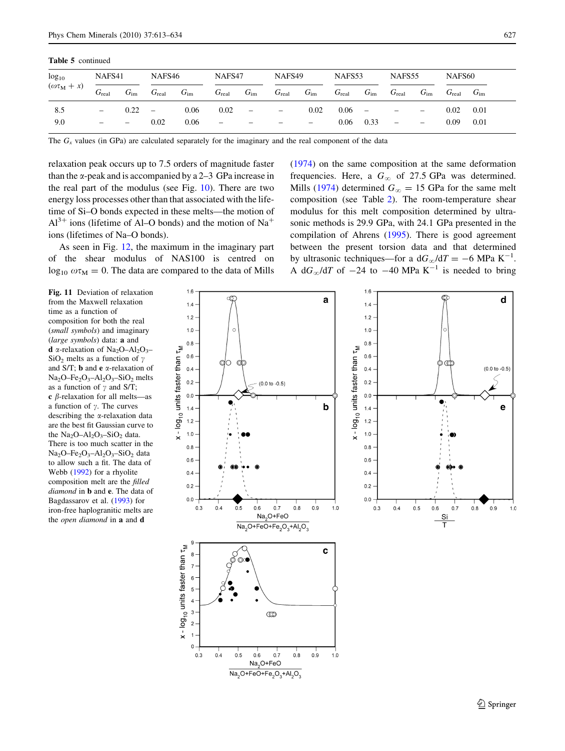<span id="page-14-0"></span>Table 5 continued

| $log_{10}$            | NAFS <sub>41</sub>               |                   | NAFS46                   |              | NAFS <sub>47</sub>       |                          | NAFS <sub>49</sub> |                   | NAFS <sub>53</sub> |                                 | NAFS <sub>55</sub>       |                   | NAFS60            |              |
|-----------------------|----------------------------------|-------------------|--------------------------|--------------|--------------------------|--------------------------|--------------------|-------------------|--------------------|---------------------------------|--------------------------|-------------------|-------------------|--------------|
| $(\omega \tau_M + x)$ | $G_{\rm real}$                   | $G_{\rm im}$      | $G_{\text{real}}$        | $G_{\rm im}$ | $G_{\rm real}$           | $G_{\rm im}$             | $G_{\rm real}$     | $G_{\rm im}$      | $G_{\rm real}$     | $G_{\rm im}$                    | $G_{\text{real}}$        | $G_{\rm im}$      | $G_{\text{real}}$ | $G_{\rm im}$ |
| 8.5                   | $\overbrace{\phantom{12322111}}$ | 0.22              | $\overline{\phantom{a}}$ | 0.06         | 0.02                     | $\overline{\phantom{m}}$ | $\qquad \qquad -$  | 0.02              | 0.06               | $\hspace{0.1mm}-\hspace{0.1mm}$ | $\overline{\phantom{0}}$ | $\qquad \qquad -$ | 0.02              | 0.01         |
| 9.0                   | $\qquad \qquad -$                | $\qquad \qquad -$ | 0.02                     | 0.06         | $\overline{\phantom{m}}$ | $\qquad \qquad -$        | -                  | $\qquad \qquad -$ | 0.06               | 0.33                            | $\overline{\phantom{0}}$ | $\qquad \qquad -$ | 0.09              | 0.01         |

The  $G_x$  values (in GPa) are calculated separately for the imaginary and the real component of the data

relaxation peak occurs up to 7.5 orders of magnitude faster than the  $\alpha$ -peak and is accompanied by a 2–3 GPa increase in the real part of the modulus (see Fig.  $10$ ). There are two energy loss processes other than that associated with the lifetime of Si–O bonds expected in these melts—the motion of  $Al^{3+}$  ions (lifetime of Al–O bonds) and the motion of Na<sup>+</sup> ions (lifetimes of Na–O bonds).

As seen in Fig. [12,](#page-15-0) the maximum in the imaginary part of the shear modulus of NAS100 is centred on  $\log_{10} \omega \tau_M = 0$ . The data are compared to the data of Mills [\(1974](#page-21-0)) on the same composition at the same deformation frequencies. Here, a  $G_{\infty}$  of 27.5 GPa was determined. Mills ([1974\)](#page-21-0) determined  $G_{\infty} = 15$  GPa for the same melt composition (see Table [2](#page-6-0)). The room-temperature shear modulus for this melt composition determined by ultrasonic methods is 29.9 GPa, with 24.1 GPa presented in the compilation of Ahrens [\(1995](#page-20-0)). There is good agreement between the present torsion data and that determined by ultrasonic techniques—for a  $dG_{\infty}/dT = -6$  MPa K<sup>-1</sup>. A d $G_{\odot}$ /dT of -24 to -40 MPa K<sup>-1</sup> is needed to bring

Fig. 11 Deviation of relaxation from the Maxwell relaxation time as a function of composition for both the real (small symbols) and imaginary (large symbols) data: a and **d**  $\alpha$ -relaxation of Na<sub>2</sub>O–Al<sub>2</sub>O<sub>3</sub>– SiO<sub>2</sub> melts as a function of  $\gamma$ and  $S/T$ ; **b** and **e**  $\alpha$ -relaxation of  $Na<sub>2</sub>O-Fe<sub>2</sub>O<sub>3</sub> - Al<sub>2</sub>O<sub>3</sub> - SiO<sub>2</sub>$  melts as a function of  $\gamma$  and S/T; **c**  $\beta$ -relaxation for all melts—as a function of  $\gamma$ . The curves describing the a-relaxation data are the best fit Gaussian curve to the  $Na<sub>2</sub>O–Al<sub>2</sub>O<sub>3</sub>–SiO<sub>2</sub> data.$ There is too much scatter in the Na<sub>2</sub>O–Fe<sub>2</sub>O<sub>3</sub>–Al<sub>2</sub>O<sub>3</sub>–SiO<sub>2</sub> data to allow such a fit. The data of Webb ([1992\)](#page-21-0) for a rhyolite composition melt are the filled diamond in **b** and **e**. The data of Bagdassarov et al. [\(1993](#page-20-0)) for iron-free haplogranitic melts are the *open diamond* in **a** and **d** 

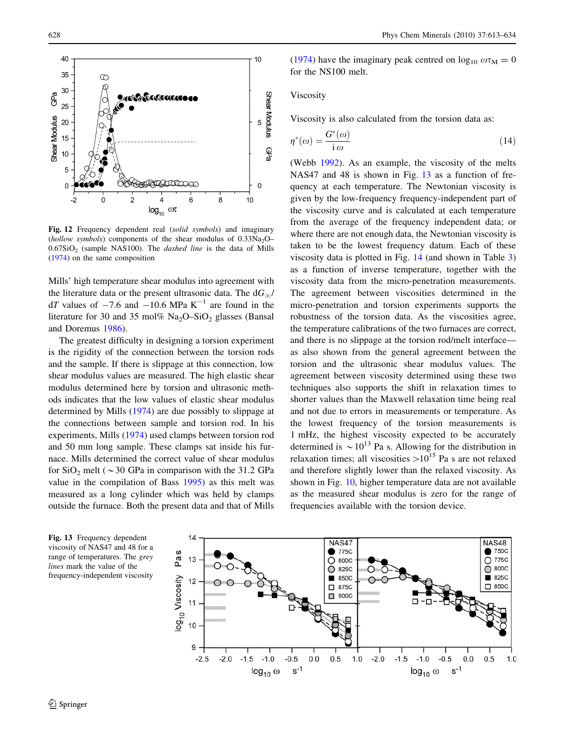<span id="page-15-0"></span>

Fig. 12 Frequency dependent real (solid symbols) and imaginary (hollow symbols) components of the shear modulus of  $0.33Na<sub>2</sub>O 0.67SiO<sub>2</sub>$  (sample NAS100). The *dashed line* is the data of Mills ([1974\)](#page-21-0) on the same composition

Mills' high temperature shear modulus into agreement with the literature data or the present ultrasonic data. The  $dG_{\infty}/$  $dT$  values of  $-7.6$  and  $-10.6$  MPa K<sup>-1</sup> are found in the literature for 30 and 35 mol%  $Na<sub>2</sub>O-SiO<sub>2</sub>$  glasses (Bansal and Doremus [1986\)](#page-20-0).

The greatest difficulty in designing a torsion experiment is the rigidity of the connection between the torsion rods and the sample. If there is slippage at this connection, low shear modulus values are measured. The high elastic shear modulus determined here by torsion and ultrasonic methods indicates that the low values of elastic shear modulus determined by Mills ([1974](#page-21-0)) are due possibly to slippage at the connections between sample and torsion rod. In his experiments, Mills [\(1974\)](#page-21-0) used clamps between torsion rod and 50 mm long sample. These clamps sat inside his furnace. Mills determined the correct value of shear modulus for  $SiO<sub>2</sub>$  melt ( $\sim$  30 GPa in comparison with the 31.2 GPa value in the compilation of Bass [1995\)](#page-20-0) as this melt was measured as a long cylinder which was held by clamps outside the furnace. Both the present data and that of Mills

[\(1974](#page-21-0)) have the imaginary peak centred on  $\log_{10} \omega \tau_M = 0$ for the NS100 melt.

# Viscosity

Viscosity is also calculated from the torsion data as:

$$
\eta^*(\omega) = \frac{G^*(\omega)}{\mathrm{i}\,\omega} \tag{14}
$$

(Webb [1992\)](#page-21-0). As an example, the viscosity of the melts NAS47 and 48 is shown in Fig. 13 as a function of frequency at each temperature. The Newtonian viscosity is given by the low-frequency frequency-independent part of the viscosity curve and is calculated at each temperature from the average of the frequency independent data; or where there are not enough data, the Newtonian viscosity is taken to be the lowest frequency datum. Each of these viscosity data is plotted in Fig. [14](#page-16-0) (and shown in Table [3\)](#page-8-0) as a function of inverse temperature, together with the viscosity data from the micro-penetration measurements. The agreement between viscosities determined in the micro-penetration and torsion experiments supports the robustness of the torsion data. As the viscosities agree, the temperature calibrations of the two furnaces are correct, and there is no slippage at the torsion rod/melt interface as also shown from the general agreement between the torsion and the ultrasonic shear modulus values. The agreement between viscosity determined using these two techniques also supports the shift in relaxation times to shorter values than the Maxwell relaxation time being real and not due to errors in measurements or temperature. As the lowest frequency of the torsion measurements is 1 mHz, the highest viscosity expected to be accurately determined is  $\sim 10^{13}$  Pa s. Allowing for the distribution in relaxation times; all viscosities  $>10^{15}$  Pa s are not relaxed and therefore slightly lower than the relaxed viscosity. As shown in Fig. [10](#page-12-0), higher temperature data are not available as the measured shear modulus is zero for the range of frequencies available with the torsion device.

Fig. 13 Frequency dependent viscosity of NAS47 and 48 for a range of temperatures. The grey lines mark the value of the frequency-independent viscosity

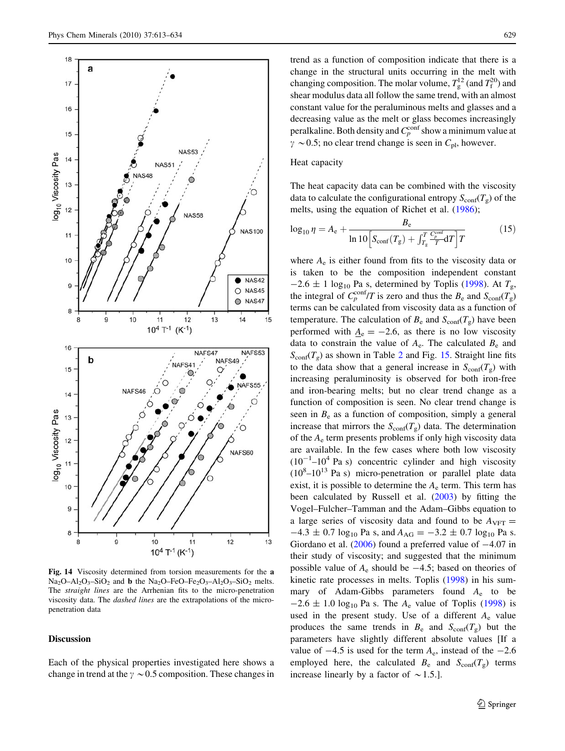<span id="page-16-0"></span>

Fig. 14 Viscosity determined from torsion measurements for the a  $Na<sub>2</sub>O-Al<sub>2</sub>O<sub>3</sub>$ -SiO<sub>2</sub> and **b** the Na<sub>2</sub>O–FeO–Fe<sub>2</sub>O<sub>3</sub>-Al<sub>2</sub>O<sub>3</sub>-SiO<sub>2</sub> melts. The straight lines are the Arrhenian fits to the micro-penetration viscosity data. The *dashed lines* are the extrapolations of the micropenetration data

# **Discussion**

Each of the physical properties investigated here shows a change in trend at the  $\gamma \sim 0.5$  composition. These changes in

trend as a function of composition indicate that there is a change in the structural units occurring in the melt with changing composition. The molar volume,  $T_g^{12}$  (and  $T_f^{20}$ ) and shear modulus data all follow the same trend, with an almost constant value for the peraluminous melts and glasses and a decreasing value as the melt or glass becomes increasingly peralkaline. Both density and  $C_p^{\text{conf}}$  show a minimum value at  $\gamma \sim 0.5$ ; no clear trend change is seen in  $C_{\text{pl}}$ , however.

# Heat capacity

The heat capacity data can be combined with the viscosity data to calculate the configurational entropy  $S_{\text{conf}}(T_g)$  of the melts, using the equation of Richet et al. [\(1986](#page-21-0));

$$
\log_{10} \eta = A_e + \frac{B_e}{\ln 10 \left[ S_{\text{conf}}(T_g) + \int_{T_g}^T \frac{C_p^{\text{conf}}}{T} dT \right] T}
$$
(15)

where  $A_e$  is either found from fits to the viscosity data or is taken to be the composition independent constant  $-2.6 \pm 1$  log<sub>10</sub> Pa s, determined by Toplis ([1998\)](#page-21-0). At  $T_g$ , the integral of  $C_p^{\text{conf}}/T$  is zero and thus the  $B_e$  and  $S_{\text{conf}}(T_g)$ terms can be calculated from viscosity data as a function of temperature. The calculation of  $B_e$  and  $S_{conf}(T_g)$  have been performed with  $A_e = -2.6$ , as there is no low viscosity data to constrain the value of  $A<sub>e</sub>$ . The calculated  $B<sub>e</sub>$  and  $S_{\text{conf}}(T_g)$  as shown in Table [2](#page-6-0) and Fig. [15](#page-17-0). Straight line fits to the data show that a general increase in  $S_{\text{conf}}(T_g)$  with increasing peraluminosity is observed for both iron-free and iron-bearing melts; but no clear trend change as a function of composition is seen. No clear trend change is seen in  $B<sub>e</sub>$  as a function of composition, simply a general increase that mirrors the  $S_{\text{conf}}(T_g)$  data. The determination of the  $A<sub>e</sub>$  term presents problems if only high viscosity data are available. In the few cases where both low viscosity  $(10^{-1}$ -10<sup>4</sup> Pa s) concentric cylinder and high viscosity  $(10<sup>8</sup> - 10<sup>13</sup>$  Pa s) micro-penetration or parallel plate data exist, it is possible to determine the  $A<sub>e</sub>$  term. This term has been calculated by Russell et al. [\(2003](#page-21-0)) by fitting the Vogel–Fulcher–Tamman and the Adam–Gibbs equation to a large series of viscosity data and found to be  $A_{VFT}$  =  $-4.3 \pm 0.7 \log_{10}$  Pa s, and  $A_{\text{AG}} = -3.2 \pm 0.7 \log_{10}$  Pa s. Giordano et al.  $(2006)$  found a preferred value of  $-4.07$  in their study of viscosity; and suggested that the minimum possible value of  $A_e$  should be  $-4.5$ ; based on theories of kinetic rate processes in melts. Toplis [\(1998](#page-21-0)) in his summary of Adam-Gibbs parameters found  $A<sub>e</sub>$  to be  $-2.6 \pm 1.0$  log<sub>10</sub> Pa s. The A<sub>e</sub> value of Toplis ([1998\)](#page-21-0) is used in the present study. Use of a different  $A_e$  value produces the same trends in  $B_e$  and  $S_{conf}(T_g)$  but the parameters have slightly different absolute values [If a value of  $-4.5$  is used for the term  $A_e$ , instead of the  $-2.6$ employed here, the calculated  $B_e$  and  $S_{conf}(T_g)$  terms increase linearly by a factor of  $\sim$  1.5.].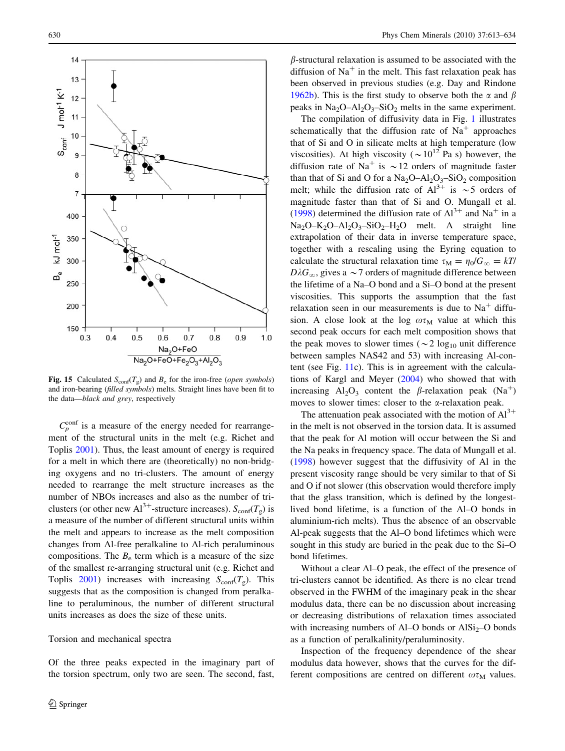<span id="page-17-0"></span>

Fig. 15 Calculated  $S_{\text{conf}}(T_g)$  and  $B_e$  for the iron-free (*open symbols*) and iron-bearing (filled symbols) melts. Straight lines have been fit to the data—black and grey, respectively

 $C_p^{\text{conf}}$  is a measure of the energy needed for rearrangement of the structural units in the melt (e.g. Richet and Toplis [2001\)](#page-21-0). Thus, the least amount of energy is required for a melt in which there are (theoretically) no non-bridging oxygens and no tri-clusters. The amount of energy needed to rearrange the melt structure increases as the number of NBOs increases and also as the number of triclusters (or other new Al<sup>3+</sup>-structure increases).  $S_{conf}(T_g)$  is a measure of the number of different structural units within the melt and appears to increase as the melt composition changes from Al-free peralkaline to Al-rich peraluminous compositions. The  $B<sub>e</sub>$  term which is a measure of the size of the smallest re-arranging structural unit (e.g. Richet and Toplis [2001](#page-21-0)) increases with increasing  $S_{\text{conf}}(T_g)$ . This suggests that as the composition is changed from peralkaline to peraluminous, the number of different structural units increases as does the size of these units.

#### Torsion and mechanical spectra

Of the three peaks expected in the imaginary part of the torsion spectrum, only two are seen. The second, fast,

 $\beta$ -structural relaxation is assumed to be associated with the diffusion of  $Na<sup>+</sup>$  in the melt. This fast relaxation peak has been observed in previous studies (e.g. Day and Rindone [1962b](#page-20-0)). This is the first study to observe both the  $\alpha$  and  $\beta$ peaks in  $Na<sub>2</sub>O-Al<sub>2</sub>O<sub>3</sub>$ –SiO<sub>2</sub> melts in the same experiment.

The compilation of diffusivity data in Fig. [1](#page-2-0) illustrates schematically that the diffusion rate of  $Na<sup>+</sup>$  approaches that of Si and O in silicate melts at high temperature (low viscosities). At high viscosity ( $\sim 10^{12}$  Pa s) however, the diffusion rate of Na<sup>+</sup> is  $\sim$  12 orders of magnitude faster than that of Si and O for a  $Na<sub>2</sub>O-Al<sub>2</sub>O<sub>3</sub>$ -SiO<sub>2</sub> composition melt; while the diffusion rate of  $Al^{3+}$  is  $\sim$  5 orders of magnitude faster than that of Si and O. Mungall et al. [\(1998](#page-21-0)) determined the diffusion rate of  $Al^{3+}$  and Na<sup>+</sup> in a  $Na<sub>2</sub>O–K<sub>2</sub>O–Al<sub>2</sub>O<sub>3</sub>–SiO<sub>2</sub>–H<sub>2</sub>O$  melt. A straight line extrapolation of their data in inverse temperature space, together with a rescaling using the Eyring equation to calculate the structural relaxation time  $\tau_M = \eta_0/G_{\infty} = kT/$  $D\lambda G_{\infty}$ , gives a ~7 orders of magnitude difference between the lifetime of a Na–O bond and a Si–O bond at the present viscosities. This supports the assumption that the fast relaxation seen in our measurements is due to  $Na<sup>+</sup>$  diffusion. A close look at the log  $\omega \tau_M$  value at which this second peak occurs for each melt composition shows that the peak moves to slower times ( $\sim$ 2 log<sub>10</sub> unit difference between samples NAS42 and 53) with increasing Al-content (see Fig. [11](#page-14-0)c). This is in agreement with the calculations of Kargl and Meyer ([2004\)](#page-20-0) who showed that with increasing  $Al_2O_3$  content the  $\beta$ -relaxation peak (Na<sup>+</sup>) moves to slower times: closer to the  $\alpha$ -relaxation peak.

The attenuation peak associated with the motion of  $Al^{3+}$ in the melt is not observed in the torsion data. It is assumed that the peak for Al motion will occur between the Si and the Na peaks in frequency space. The data of Mungall et al. [\(1998](#page-21-0)) however suggest that the diffusivity of Al in the present viscosity range should be very similar to that of Si and O if not slower (this observation would therefore imply that the glass transition, which is defined by the longestlived bond lifetime, is a function of the Al–O bonds in aluminium-rich melts). Thus the absence of an observable Al-peak suggests that the Al–O bond lifetimes which were sought in this study are buried in the peak due to the Si–O bond lifetimes.

Without a clear Al–O peak, the effect of the presence of tri-clusters cannot be identified. As there is no clear trend observed in the FWHM of the imaginary peak in the shear modulus data, there can be no discussion about increasing or decreasing distributions of relaxation times associated with increasing numbers of Al–O bonds or  $AlSi<sub>2</sub>–O$  bonds as a function of peralkalinity/peraluminosity.

Inspection of the frequency dependence of the shear modulus data however, shows that the curves for the different compositions are centred on different  $\omega\tau_M$  values.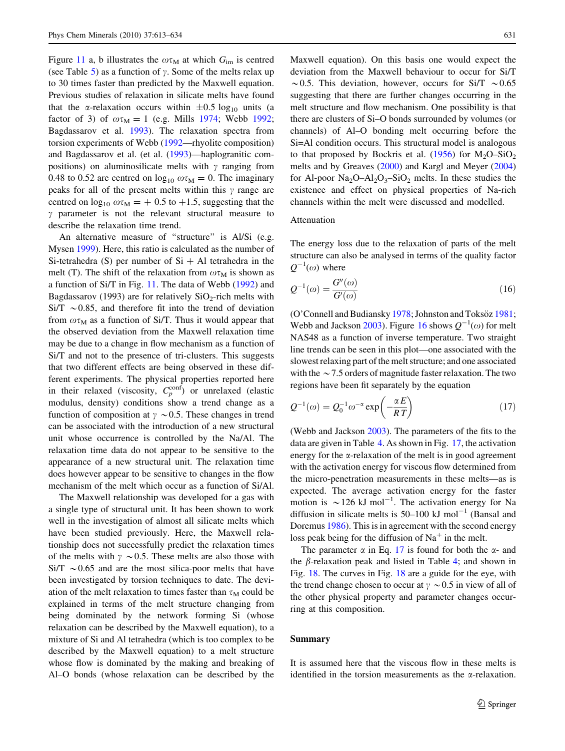<span id="page-18-0"></span>Figure [11](#page-14-0) a, b illustrates the  $\omega \tau_M$  at which  $G_{im}$  is centred (see Table [5\)](#page-13-0) as a function of  $\gamma$ . Some of the melts relax up to 30 times faster than predicted by the Maxwell equation. Previous studies of relaxation in silicate melts have found that the  $\alpha$ -relaxation occurs within  $\pm 0.5 \log_{10}$  units (a factor of 3) of  $\omega \tau_M = 1$  (e.g. Mills [1974;](#page-21-0) Webb [1992](#page-21-0); Bagdassarov et al. [1993\)](#page-20-0). The relaxation spectra from torsion experiments of Webb ([1992—](#page-21-0)rhyolite composition) and Bagdassarov et al. (et al. ([1993\)](#page-20-0)—haplogranitic compositions) on aluminosilicate melts with  $\gamma$  ranging from 0.48 to 0.52 are centred on  $log_{10} \omega \tau_M = 0$ . The imaginary peaks for all of the present melts within this  $\gamma$  range are centred on  $\log_{10} \omega \tau_M = +0.5$  to +1.5, suggesting that the  $\gamma$  parameter is not the relevant structural measure to describe the relaxation time trend.

An alternative measure of "structure" is Al/Si (e.g. Mysen [1999](#page-21-0)). Here, this ratio is calculated as the number of Si-tetrahedra (S) per number of  $Si + Al$  tetrahedra in the melt (T). The shift of the relaxation from  $\omega \tau_M$  is shown as a function of Si/T in Fig. [11.](#page-14-0) The data of Webb ([1992\)](#page-21-0) and Bagdassarov (1993) are for relatively  $SiO<sub>2</sub>$ -rich melts with  $Si/T \sim 0.85$ , and therefore fit into the trend of deviation from  $\omega\tau_M$  as a function of Si/T. Thus it would appear that the observed deviation from the Maxwell relaxation time may be due to a change in flow mechanism as a function of Si/T and not to the presence of tri-clusters. This suggests that two different effects are being observed in these different experiments. The physical properties reported here in their relaxed (viscosity,  $C_p^{\text{conf}}$ ) or unrelaxed (elastic modulus, density) conditions show a trend change as a function of composition at  $\gamma \sim 0.5$ . These changes in trend can be associated with the introduction of a new structural unit whose occurrence is controlled by the Na/Al. The relaxation time data do not appear to be sensitive to the appearance of a new structural unit. The relaxation time does however appear to be sensitive to changes in the flow mechanism of the melt which occur as a function of Si/Al.

The Maxwell relationship was developed for a gas with a single type of structural unit. It has been shown to work well in the investigation of almost all silicate melts which have been studied previously. Here, the Maxwell relationship does not successfully predict the relaxation times of the melts with  $\gamma \sim 0.5$ . These melts are also those with  $Si/T \sim 0.65$  and are the most silica-poor melts that have been investigated by torsion techniques to date. The deviation of the melt relaxation to times faster than  $\tau_M$  could be explained in terms of the melt structure changing from being dominated by the network forming Si (whose relaxation can be described by the Maxwell equation), to a mixture of Si and Al tetrahedra (which is too complex to be described by the Maxwell equation) to a melt structure whose flow is dominated by the making and breaking of Al–O bonds (whose relaxation can be described by the Maxwell equation). On this basis one would expect the deviation from the Maxwell behaviour to occur for Si/T  $\sim$ 0.5. This deviation, however, occurs for Si/T  $\sim$ 0.65 suggesting that there are further changes occurring in the melt structure and flow mechanism. One possibility is that there are clusters of Si–O bonds surrounded by volumes (or channels) of Al–O bonding melt occurring before the Si=Al condition occurs. This structural model is analogous to that proposed by Bockris et al. ([1956\)](#page-20-0) for  $M_2O-SiO_2$ melts and by Greaves ([2000\)](#page-20-0) and Kargl and Meyer ([2004\)](#page-20-0) for Al-poor  $Na<sub>2</sub>O-Al<sub>2</sub>O<sub>3</sub>$ -SiO<sub>2</sub> melts. In these studies the existence and effect on physical properties of Na-rich channels within the melt were discussed and modelled.

## Attenuation

The energy loss due to the relaxation of parts of the melt structure can also be analysed in terms of the quality factor  $Q^{-1}(\omega)$  where

$$
\mathcal{Q}^{-1}(\omega) = \frac{G''(\omega)}{G'(\omega)}\tag{16}
$$

(O'Connell and Budiansky [1978](#page-21-0); Johnston and Toksöz [1981](#page-20-0); Webb and Jackson [2003\)](#page-21-0). Figure [16](#page-19-0) shows  $Q^{-1}(\omega)$  for melt NAS48 as a function of inverse temperature. Two straight line trends can be seen in this plot—one associated with the slowest relaxing part of the melt structure; and one associated with the  $\sim$  7.5 orders of magnitude faster relaxation. The two regions have been fit separately by the equation

$$
Q^{-1}(\omega) = Q_0^{-1} \omega^{-\alpha} \exp\left(-\frac{\alpha E}{RT}\right) \tag{17}
$$

(Webb and Jackson [2003](#page-21-0)). The parameters of the fits to the data are given in Table [4](#page-10-0). As shown in Fig. [17](#page-19-0), the activation energy for the  $\alpha$ -relaxation of the melt is in good agreement with the activation energy for viscous flow determined from the micro-penetration measurements in these melts—as is expected. The average activation energy for the faster motion is  $\sim$  126 kJ mol<sup>-1</sup>. The activation energy for Na diffusion in silicate melts is  $50-100$  kJ mol<sup>-1</sup> (Bansal and Doremus [1986\)](#page-20-0). This is in agreement with the second energy loss peak being for the diffusion of  $Na<sup>+</sup>$  in the melt.

The parameter  $\alpha$  in Eq. 17 is found for both the  $\alpha$ - and the  $\beta$ -relaxation peak and listed in Table [4;](#page-10-0) and shown in Fig. [18](#page-19-0). The curves in Fig. [18](#page-19-0) are a guide for the eye, with the trend change chosen to occur at  $\gamma \sim 0.5$  in view of all of the other physical property and parameter changes occurring at this composition.

#### Summary

It is assumed here that the viscous flow in these melts is identified in the torsion measurements as the  $\alpha$ -relaxation.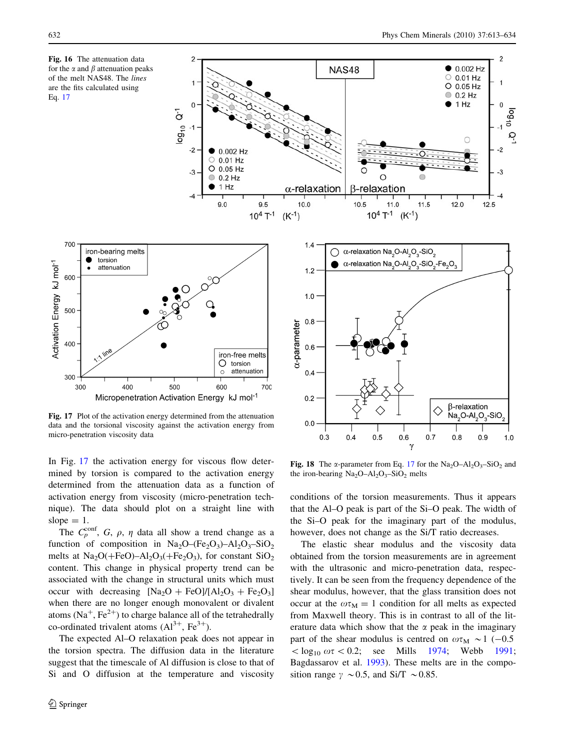700

600

500

400

300 300

Activation Energy kJ mol<sup>-1</sup>

<span id="page-19-0"></span>

iron-bearing melts torsion

attenuation

400

Q



Fig. 17 Plot of the activation energy determined from the attenuation data and the torsional viscosity against the activation energy from micro-penetration viscosity data

In Fig. 17 the activation energy for viscous flow determined by torsion is compared to the activation energy determined from the attenuation data as a function of activation energy from viscosity (micro-penetration technique). The data should plot on a straight line with slope  $= 1$ .

The  $C_p^{\text{conf}}$ , G,  $\rho$ ,  $\eta$  data all show a trend change as a function of composition in  $Na<sub>2</sub>O-(Fe<sub>2</sub>O<sub>3</sub>)-Al<sub>2</sub>O<sub>3</sub>-SiO<sub>2</sub>$ melts at  $Na<sub>2</sub>O(+FeO)-Al<sub>2</sub>O<sub>3</sub>(+Fe<sub>2</sub>O<sub>3</sub>)$ , for constant  $SiO<sub>2</sub>$ content. This change in physical property trend can be associated with the change in structural units which must occur with decreasing  $[Na_2O + FeO]/[Al_2O_3 + Fe_2O_3]$ when there are no longer enough monovalent or divalent atoms  $(Na^+, Fe^{2+})$  to charge balance all of the tetrahedrally co-ordinated trivalent atoms  $(A1^{3+}, Fe^{3+})$ .

The expected Al–O relaxation peak does not appear in the torsion spectra. The diffusion data in the literature suggest that the timescale of Al diffusion is close to that of Si and O diffusion at the temperature and viscosity

Fig. 18 The  $\alpha$ -parameter from Eq. [17](#page-18-0) for the Na<sub>2</sub>O–Al<sub>2</sub>O<sub>3</sub>–SiO<sub>2</sub> and the iron-bearing  $Na<sub>2</sub>O–Al<sub>2</sub>O<sub>3</sub>–SiO<sub>2</sub>$  melts

conditions of the torsion measurements. Thus it appears that the Al–O peak is part of the Si–O peak. The width of the Si–O peak for the imaginary part of the modulus, however, does not change as the Si/T ratio decreases.

The elastic shear modulus and the viscosity data obtained from the torsion measurements are in agreement with the ultrasonic and micro-penetration data, respectively. It can be seen from the frequency dependence of the shear modulus, however, that the glass transition does not occur at the  $\omega\tau_M = 1$  condition for all melts as expected from Maxwell theory. This is in contrast to all of the literature data which show that the  $\alpha$  peak in the imaginary part of the shear modulus is centred on  $\omega \tau_M \sim 1$  (-0.5)  $\langle \log_{10} \omega \tau \langle 0.2; \text{ see } \text{Mills } 1974; \text{ Webb } 1991;$  $\langle \log_{10} \omega \tau \langle 0.2; \text{ see } \text{Mills } 1974; \text{ Webb } 1991;$  $\langle \log_{10} \omega \tau \langle 0.2; \text{ see } \text{Mills } 1974; \text{ Webb } 1991;$  $\langle \log_{10} \omega \tau \langle 0.2; \text{ see } \text{Mills } 1974; \text{ Webb } 1991;$  $\langle \log_{10} \omega \tau \langle 0.2; \text{ see } \text{Mills } 1974; \text{ Webb } 1991;$ Bagdassarov et al. [1993](#page-20-0)). These melts are in the composition range  $\gamma \sim 0.5$ , and Si/T  $\sim 0.85$ .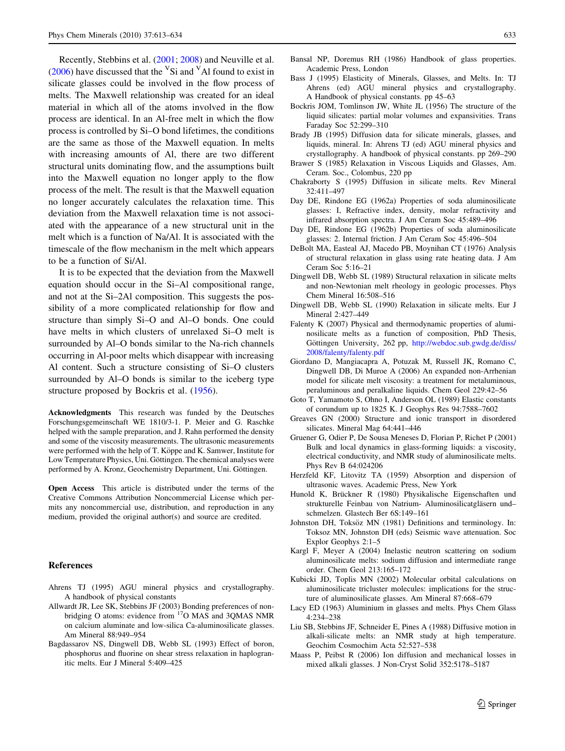<span id="page-20-0"></span>Recently, Stebbins et al. ([2001;](#page-21-0) [2008](#page-21-0)) and Neuville et al.  $(2006)$  $(2006)$  have discussed that the <sup>V</sup>Si and <sup>V</sup>Al found to exist in silicate glasses could be involved in the flow process of melts. The Maxwell relationship was created for an ideal material in which all of the atoms involved in the flow process are identical. In an Al-free melt in which the flow process is controlled by Si–O bond lifetimes, the conditions are the same as those of the Maxwell equation. In melts with increasing amounts of Al, there are two different structural units dominating flow, and the assumptions built into the Maxwell equation no longer apply to the flow process of the melt. The result is that the Maxwell equation no longer accurately calculates the relaxation time. This deviation from the Maxwell relaxation time is not associated with the appearance of a new structural unit in the melt which is a function of Na/Al. It is associated with the timescale of the flow mechanism in the melt which appears to be a function of Si/Al.

It is to be expected that the deviation from the Maxwell equation should occur in the Si–Al compositional range, and not at the Si–2Al composition. This suggests the possibility of a more complicated relationship for flow and structure than simply Si–O and Al–O bonds. One could have melts in which clusters of unrelaxed Si–O melt is surrounded by Al–O bonds similar to the Na-rich channels occurring in Al-poor melts which disappear with increasing Al content. Such a structure consisting of Si–O clusters surrounded by Al–O bonds is similar to the iceberg type structure proposed by Bockris et al. (1956).

Acknowledgments This research was funded by the Deutsches Forschungsgemeinschaft WE 1810/3-1. P. Meier and G. Raschke helped with the sample preparation, and J. Rahn performed the density and some of the viscosity measurements. The ultrasonic measurements were performed with the help of T. Köppe and K. Samwer, Institute for Low Temperature Physics, Uni. Göttingen. The chemical analyses were performed by A. Kronz, Geochemistry Department, Uni. Göttingen.

Open Access This article is distributed under the terms of the Creative Commons Attribution Noncommercial License which permits any noncommercial use, distribution, and reproduction in any medium, provided the original author(s) and source are credited.

# References

- Ahrens TJ (1995) AGU mineral physics and crystallography. A handbook of physical constants
- Allwardt JR, Lee SK, Stebbins JF (2003) Bonding preferences of nonbridging O atoms: evidence from <sup>17</sup>O MAS and 3QMAS NMR on calcium aluminate and low-silica Ca-aluminosilicate glasses. Am Mineral 88:949–954
- Bagdassarov NS, Dingwell DB, Webb SL (1993) Effect of boron, phosphorus and fluorine on shear stress relaxation in haplogranitic melts. Eur J Mineral 5:409–425
- Bansal NP, Doremus RH (1986) Handbook of glass properties. Academic Press, London
- Bass J (1995) Elasticity of Minerals, Glasses, and Melts. In: TJ Ahrens (ed) AGU mineral physics and crystallography. A Handbook of physical constants. pp 45–63
- Bockris JOM, Tomlinson JW, White JL (1956) The structure of the liquid silicates: partial molar volumes and expansivities. Trans Faraday Soc 52:299–310
- Brady JB (1995) Diffusion data for silicate minerals, glasses, and liquids, mineral. In: Ahrens TJ (ed) AGU mineral physics and crystallography. A handbook of physical constants. pp 269–290
- Brawer S (1985) Relaxation in Viscous Liquids and Glasses, Am. Ceram. Soc., Colombus, 220 pp
- Chakraborty S (1995) Diffusion in silicate melts. Rev Mineral 32:411–497
- Day DE, Rindone EG (1962a) Properties of soda aluminosilicate glasses: I, Refractive index, density, molar refractivity and infrared absorption spectra. J Am Ceram Soc 45:489–496
- Day DE, Rindone EG (1962b) Properties of soda aluminosilicate glasses: 2. Internal friction. J Am Ceram Soc 45:496–504
- DeBolt MA, Easteal AJ, Macedo PB, Moynihan CT (1976) Analysis of structural relaxation in glass using rate heating data. J Am Ceram Soc 5:16–21
- Dingwell DB, Webb SL (1989) Structural relaxation in silicate melts and non-Newtonian melt rheology in geologic processes. Phys Chem Mineral 16:508–516
- Dingwell DB, Webb SL (1990) Relaxation in silicate melts. Eur J Mineral 2:427–449
- Falenty K (2007) Physical and thermodynamic properties of aluminosilicate melts as a function of composition, PhD Thesis, Göttingen University, 262 pp, [http://webdoc.sub.gwdg.de/diss/](http://webdoc.sub.gwdg.de/diss/2008/falenty/falenty.pdf) [2008/falenty/falenty.pdf](http://webdoc.sub.gwdg.de/diss/2008/falenty/falenty.pdf)
- Giordano D, Mangiacapra A, Potuzak M, Russell JK, Romano C, Dingwell DB, Di Muroe A (2006) An expanded non-Arrhenian model for silicate melt viscosity: a treatment for metaluminous, peraluminous and peralkaline liquids. Chem Geol 229:42–56
- Goto T, Yamamoto S, Ohno I, Anderson OL (1989) Elastic constants of corundum up to 1825 K. J Geophys Res 94:7588–7602
- Greaves GN (2000) Structure and ionic transport in disordered silicates. Mineral Mag 64:441–446
- Gruener G, Odier P, De Sousa Meneses D, Florian P, Richet P (2001) Bulk and local dynamics in glass-forming liquids: a viscosity, electrical conductivity, and NMR study of aluminosilicate melts. Phys Rev B 64:024206
- Herzfeld KF, Litovitz TA (1959) Absorption and dispersion of ultrasonic waves. Academic Press, New York
- Hunold K, Brückner R (1980) Physikalische Eigenschaften und strukturelle Feinbau von Natrium- Aluminosilicatgläsern undschmelzen. Glastech Ber 6S:149–161
- Johnston DH, Toksöz MN (1981) Definitions and terminology. In: Toksoz MN, Johnston DH (eds) Seismic wave attenuation. Soc Explor Geophys 2:1–5
- Kargl F, Meyer A (2004) Inelastic neutron scattering on sodium aluminosilicate melts: sodium diffusion and intermediate range order. Chem Geol 213:165–172
- Kubicki JD, Toplis MN (2002) Molecular orbital calculations on aluminosilicate tricluster molecules: implications for the structure of aluminosilicate glasses. Am Mineral 87:668–679
- Lacy ED (1963) Aluminium in glasses and melts. Phys Chem Glass 4:234–238
- Liu SB, Stebbins JF, Schneider E, Pines A (1988) Diffusive motion in alkali-silicate melts: an NMR study at high temperature. Geochim Cosmochim Acta 52:527–538
- Maass P, Peibst R (2006) Ion diffusion and mechanical losses in mixed alkali glasses. J Non-Cryst Solid 352:5178–5187